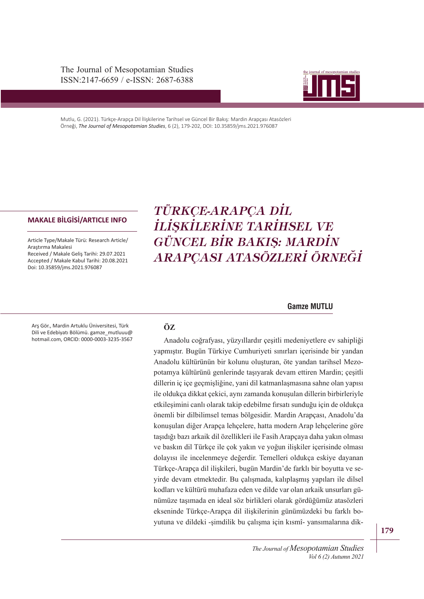The Journal of Mesopotamian Studies ISSN:2147-6659 / e-ISSN: 2687-6388



Mutlu, G. (2021). Türkçe-Arapça Dil İlişkilerine Tarihsel ve Güncel Bir Bakış: Mardin Arapçası Atasözleri Örneği, *The Journal of Mesopotamian Studies*, 6 (2), 179-202, DOI: 10.35859/jms.2021.976087

Article Type/Makale Türü: Research Article/ Araştırma Makalesi Received / Makale Geliş Tarihi: 29.07.2021 Accepted / Makale Kabul Tarihi: 20.08.2021 Doi: 10.35859/jms.2021.976087

# ISSN: 2147-6659 e-ISSN: 2687-6388 *İLİŞKİLERİNE TARİHSEL VE*  **MAKALE BİLGİSİ/ARTICLE INFO** *TÜRKÇE-ARAPÇA DİL GÜNCEL BİR BAKIŞ: MARDİN ARAPÇASI ATASÖZLERİ ÖRNEĞİ*

# **Gamze MUTLU**

Arş Gör., Mardin Artuklu Üniversitesi, Türk Dili ve Edebiyatı Bölümü. gamze\_mutluuu@ hotmail.com, ORCID: 0000-0003-3235-3567

# **ÖZ**

Anadolu coğrafyası, yüzyıllardır çeşitli medeniyetlere ev sahipliği yapmıştır. Bugün Türkiye Cumhuriyeti sınırları içerisinde bir yandan Anadolu kültürünün bir kolunu oluşturan, öte yandan tarihsel Mezopotamya kültürünü genlerinde taşıyarak devam ettiren Mardin; çeşitli dillerin iç içe geçmişliğine, yani dil katmanlaşmasına sahne olan yapısı ile oldukça dikkat çekici, aynı zamanda konuşulan dillerin birbirleriyle etkileşimini canlı olarak takip edebilme fırsatı sunduğu için de oldukça önemli bir dilbilimsel temas bölgesidir. Mardin Arapçası, Anadolu'da konuşulan diğer Arapça lehçelere, hatta modern Arap lehçelerine göre taşıdığı bazı arkaik dil özellikleri ile Fasih Arapçaya daha yakın olması ve baskın dil Türkçe ile çok yakın ve yoğun ilişkiler içerisinde olması dolayısı ile incelenmeye değerdir. Temelleri oldukça eskiye dayanan Türkçe-Arapça dil ilişkileri, bugün Mardin'de farklı bir boyutta ve seyirde devam etmektedir. Bu çalışmada, kalıplaşmış yapıları ile dilsel kodları ve kültürü muhafaza eden ve dilde var olan arkaik unsurları günümüze taşımada en ideal söz birlikleri olarak gördüğümüz atasözleri ekseninde Türkçe-Arapça dil ilişkilerinin günümüzdeki bu farklı boyutuna ve dildeki -şimdilik bu çalışma için kısmî- yansımalarına dik-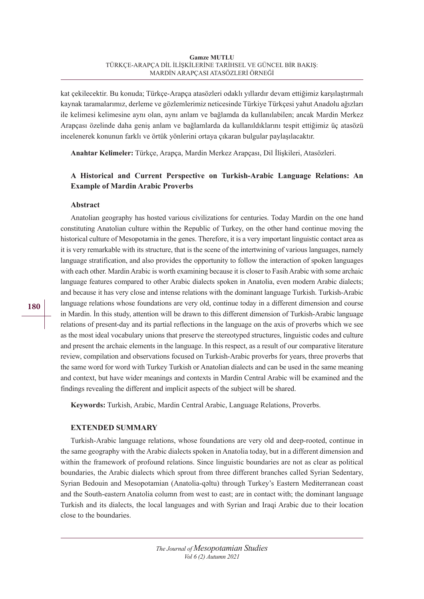kat çekilecektir. Bu konuda; Türkçe-Arapça atasözleri odaklı yıllardır devam ettiğimiz karşılaştırmalı kaynak taramalarımız, derleme ve gözlemlerimiz neticesinde Türkiye Türkçesi yahut Anadolu ağızları ile kelimesi kelimesine aynı olan, aynı anlam ve bağlamda da kullanılabilen; ancak Mardin Merkez Arapçası özelinde daha geniş anlam ve bağlamlarda da kullanıldıklarını tespit ettiğimiz üç atasözü incelenerek konunun farklı ve örtük yönlerini ortaya çıkaran bulgular paylaşılacaktır.

**Anahtar Kelimeler:** Türkçe, Arapça, Mardin Merkez Arapçası, Dil İlişkileri, Atasözleri.

# **A Historical and Current Perspective on Turkish-Arabic Language Relations: An Example of Mardin Arabic Proverbs**

### **Abstract**

Anatolian geography has hosted various civilizations for centuries. Today Mardin on the one hand constituting Anatolian culture within the Republic of Turkey, on the other hand continue moving the historical culture of Mesopotamia in the genes. Therefore, it is a very important linguistic contact area as it is very remarkable with its structure, that is the scene of the intertwining of various languages, namely language stratification, and also provides the opportunity to follow the interaction of spoken languages with each other. Mardin Arabic is worth examining because it is closer to Fasih Arabic with some archaic language features compared to other Arabic dialects spoken in Anatolia, even modern Arabic dialects; and because it has very close and intense relations with the dominant language Turkish. Turkish-Arabic language relations whose foundations are very old, continue today in a different dimension and course in Mardin. İn this study, attention will be drawn to this different dimension of Turkish-Arabic language relations of present-day and its partial reflections in the language on the axis of proverbs which we see as the most ideal vocabulary unions that preserve the stereotyped structures, linguistic codes and culture and present the archaic elements in the language. In this respect, as a result of our comparative literature review, compilation and observations focused on Turkish-Arabic proverbs for years, three proverbs that the same word for word with Turkey Turkish or Anatolian dialects and can be used in the same meaning and context, but have wider meanings and contexts in Mardin Central Arabic will be examined and the findings revealing the different and implicit aspects of the subject will be shared.

**Keywords:** Turkish, Arabic, Mardin Central Arabic, Language Relations, Proverbs.

# **EXTENDED SUMMARY**

Turkish-Arabic language relations, whose foundations are very old and deep-rooted, continue in the same geography with the Arabic dialects spoken in Anatolia today, but in a different dimension and within the framework of profound relations. Since linguistic boundaries are not as clear as political boundaries, the Arabic dialects which sprout from three different branches called Syrian Sedentary, Syrian Bedouin and Mesopotamian (Anatolia-qǝltu) through Turkey's Eastern Mediterranean coast and the South-eastern Anatolia column from west to east; are in contact with; the dominant language Turkish and its dialects, the local languages and with Syrian and Iraqi Arabic due to their location close to the boundaries.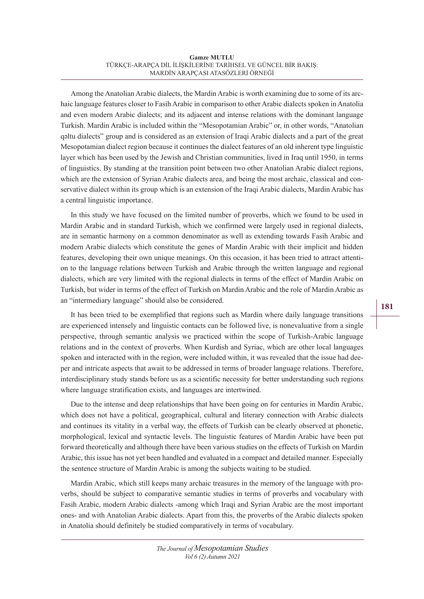Among the Anatolian Arabic dialects, the Mardin Arabic is worth examining due to some of its archaic language features closer to Fasih Arabic in comparison to other Arabic dialects spoken in Anatolia and even modern Arabic dialects; and its adjacent and intense relations with the dominant language Turkish. Mardin Arabic is included within the "Mesopotamian Arabic" or, in other words, "Anatolian qǝltu dialects" group and is considered as an extension of Iraqi Arabic dialects and a part of the great Mesopotamian dialect region because it continues the dialect features of an old inherent type linguistic layer which has been used by the Jewish and Christian communities, lived in Iraq until 1950, in terms of linguistics. By standing at the transition point between two other Anatolian Arabic dialect regions, which are the extension of Syrian Arabic dialects area, and being the most archaic, classical and conservative dialect within its group which is an extension of the Iraqi Arabic dialects, Mardin Arabic has a central linguistic importance.

In this study we have focused on the limited number of proverbs, which we found to be used in Mardin Arabic and in standard Turkish, which we confirmed were largely used in regional dialects, are in semantic harmony on a common denominator as well as extending towards Fasih Arabic and modern Arabic dialects which constitute the genes of Mardin Arabic with their implicit and hidden features, developing their own unique meanings. On this occasion, it has been tried to attract attention to the language relations between Turkish and Arabic through the written language and regional dialects, which are very limited with the regional dialects in terms of the effect of Mardin Arabic on Turkish, but wider in terms of the effect of Turkish on Mardin Arabic and the role of Mardin Arabic as an "intermediary language" should also be considered.

It has been tried to be exemplified that regions such as Mardin where daily language transitions are experienced intensely and linguistic contacts can be followed live, is nonevaluative from a single perspective, through semantic analysis we practiced within the scope of Turkish-Arabic language relations and in the context of proverbs. When Kurdish and Syriac, which are other local languages spoken and interacted with in the region, were included within, it was revealed that the issue had deeper and intricate aspects that await to be addressed in terms of broader language relations. Therefore, interdisciplinary study stands before us as a scientific necessity for better understanding such regions where language stratification exists, and languages are intertwined.

Due to the intense and deep relationships that have been going on for centuries in Mardin Arabic, which does not have a political, geographical, cultural and literary connection with Arabic dialects and continues its vitality in a verbal way, the effects of Turkish can be clearly observed at phonetic, morphological, lexical and syntactic levels. The linguistic features of Mardin Arabic have been put forward theoretically and although there have been various studies on the effects of Turkish on Mardin Arabic, this issue has not yet been handled and evaluated in a compact and detailed manner. Especially the sentence structure of Mardin Arabic is among the subjects waiting to be studied.

Mardin Arabic, which still keeps many archaic treasures in the memory of the language with proverbs, should be subject to comparative semantic studies in terms of proverbs and vocabulary with Fasih Arabic, modern Arabic dialects -among which Iraqi and Syrian Arabic are the most important ones- and with Anatolian Arabic dialects. Apart from this, the proverbs of the Arabic dialects spoken in Anatolia should definitely be studied comparatively in terms of vocabulary.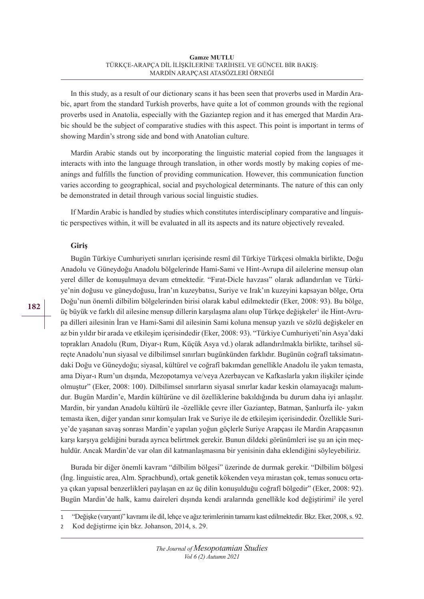In this study, as a result of our dictionary scans it has been seen that proverbs used in Mardin Arabic, apart from the standard Turkish proverbs, have quite a lot of common grounds with the regional proverbs used in Anatolia, especially with the Gaziantep region and it has emerged that Mardin Arabic should be the subject of comparative studies with this aspect. This point is important in terms of showing Mardin's strong side and bond with Anatolian culture.

Mardin Arabic stands out by incorporating the linguistic material copied from the languages it interacts with into the language through translation, in other words mostly by making copies of meanings and fulfills the function of providing communication. However, this communication function varies according to geographical, social and psychological determinants. The nature of this can only be demonstrated in detail through various social linguistic studies.

If Mardin Arabic is handled by studies which constitutes interdisciplinary comparative and linguistic perspectives within, it will be evaluated in all its aspects and its nature objectively revealed.

# **Giriş**

Bugün Türkiye Cumhuriyeti sınırları içerisinde resmî dil Türkiye Türkçesi olmakla birlikte, Doğu Anadolu ve Güneydoğu Anadolu bölgelerinde Hami-Sami ve Hint-Avrupa dil ailelerine mensup olan yerel diller de konuşulmaya devam etmektedir. "Fırat-Dicle havzası" olarak adlandırılan ve Türkiye'nin doğusu ve güneydoğusu, İran'ın kuzeybatısı, Suriye ve Irak'ın kuzeyini kapsayan bölge, Orta Doğu'nun önemli dilbilim bölgelerinden birisi olarak kabul edilmektedir (Eker, 2008: 93). Bu bölge, üç büyük ve farklı dil ailesine mensup dillerin karşılaşma alanı olup Türkçe değişkeler<sup>ı</sup> ile Hint-Avrupa dilleri ailesinin İran ve Hami-Sami dil ailesinin Sami koluna mensup yazılı ve sözlü değişkeler en az bin yıldır bir arada ve etkileşim içerisindedir (Eker, 2008: 93). "Türkiye Cumhuriyeti'nin Asya'daki toprakları Anadolu (Rum, Diyar-ı Rum, Küçük Asya vd.) olarak adlandırılmakla birlikte, tarihsel süreçte Anadolu'nun siyasal ve dilbilimsel sınırları bugünkünden farklıdır. Bugünün coğrafî taksimatındaki Doğu ve Güneydoğu; siyasal, kültürel ve coğrafî bakımdan genellikle Anadolu ile yakın temasta, ama Diyar-ı Rum'un dışında, Mezopotamya ve/veya Azerbaycan ve Kafkaslarla yakın ilişkiler içinde olmuştur" (Eker, 2008: 100). Dilbilimsel sınırların siyasal sınırlar kadar keskin olamayacağı malumdur. Bugün Mardin'e, Mardin kültürüne ve dil özelliklerine bakıldığında bu durum daha iyi anlaşılır. Mardin, bir yandan Anadolu kültürü ile -özellikle çevre iller Gaziantep, Batman, Şanlıurfa ile- yakın temasta iken, diğer yandan sınır komşuları Irak ve Suriye ile de etkileşim içerisindedir. Özellikle Suriye'de yaşanan savaş sonrası Mardin'e yapılan yoğun göçlerle Suriye Arapçası ile Mardin Arapçasının karşı karşıya geldiğini burada ayrıca belirtmek gerekir. Bunun dildeki görünümleri ise şu an için meçhuldür. Ancak Mardin'de var olan dil katmanlaşmasına bir yenisinin daha eklendiğini söyleyebiliriz.

Burada bir diğer önemli kavram "dilbilim bölgesi" üzerinde de durmak gerekir. "Dilbilim bölgesi (İng. linguistic area, Alm. Sprachbund), ortak genetik kökenden veya mirastan çok, temas sonucu ortaya çıkan yapısal benzerlikleri paylaşan en az üç dilin konuşulduğu coğrafî bölgedir" (Eker, 2008: 92). Bugün Mardin'de halk, kamu daireleri dışında kendi aralarında genellikle kod değiştirimi<sup>2</sup> ile yerel

<sup>1</sup> "Değişke (varyant)" kavramı ile dil, lehçe ve ağız terimlerinin tamamı kast edilmektedir. Bkz. Eker, 2008, s. 92.

<sup>2</sup> Kod değiştirme için bkz. Johanson, 2014, s. 29.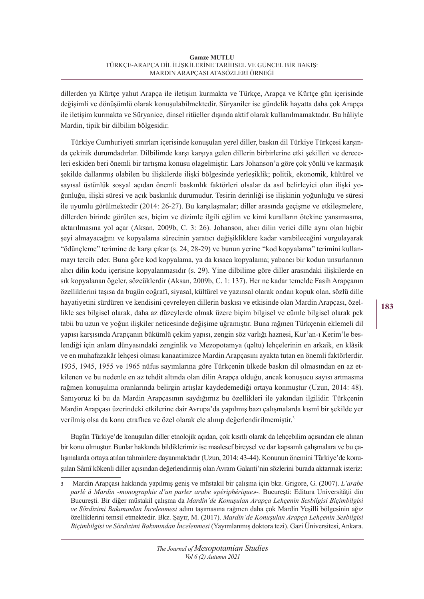dillerden ya Kürtçe yahut Arapça ile iletişim kurmakta ve Türkçe, Arapça ve Kürtçe gün içerisinde değişimli ve dönüşümlü olarak konuşulabilmektedir. Süryaniler ise gündelik hayatta daha çok Arapça ile iletişim kurmakta ve Süryanice, dinsel ritüeller dışında aktif olarak kullanılmamaktadır. Bu hâliyle Mardin, tipik bir dilbilim bölgesidir.

Türkiye Cumhuriyeti sınırları içerisinde konuşulan yerel diller, baskın dil Türkiye Türkçesi karşında çekinik durumdadırlar. Dilbilimde karşı karşıya gelen dillerin birbirlerine etki şekilleri ve dereceleri eskiden beri önemli bir tartışma konusu olagelmiştir. Lars Johanson'a göre çok yönlü ve karmaşık şekilde dallanmış olabilen bu ilişkilerde ilişki bölgesinde yerleşiklik; politik, ekonomik, kültürel ve sayısal üstünlük sosyal açıdan önemli baskınlık faktörleri olsalar da asıl belirleyici olan ilişki yoğunluğu, ilişki süresi ve açık baskınlık durumudur. Tesirin derinliği ise ilişkinin yoğunluğu ve süresi ile uyumlu görülmektedir (2014: 26-27). Bu karşılaşmalar; diller arasında geçişme ve etkileşmelere, dillerden birinde görülen ses, biçim ve dizimle ilgili eğilim ve kimi kuralların ötekine yansımasına, aktarılmasına yol açar (Aksan, 2009b, C. 3: 26). Johanson, alıcı dilin verici dille aynı olan hiçbir şeyi almayacağını ve kopyalama sürecinin yaratıcı değişikliklere kadar varabileceğini vurgulayarak "ödünçleme" terimine de karşı çıkar (s. 24, 28-29) ve bunun yerine "kod kopyalama" terimini kullanmayı tercih eder. Buna göre kod kopyalama, ya da kısaca kopyalama; yabancı bir kodun unsurlarının alıcı dilin kodu içerisine kopyalanmasıdır (s. 29). Yine dilbilime göre diller arasındaki ilişkilerde en sık kopyalanan ögeler, sözcüklerdir (Aksan, 2009b, C. 1: 137). Her ne kadar temelde Fasih Arapçanın özelliklerini taşısa da bugün coğrafî, siyasal, kültürel ve yazınsal olarak ondan kopuk olan, sözlü dille hayatiyetini sürdüren ve kendisini çevreleyen dillerin baskısı ve etkisinde olan Mardin Arapçası, özellikle ses bilgisel olarak, daha az düzeylerde olmak üzere biçim bilgisel ve cümle bilgisel olarak pek tabii bu uzun ve yoğun ilişkiler neticesinde değişime uğramıştır. Buna rağmen Türkçenin eklemeli dil yapısı karşısında Arapçanın bükümlü çekim yapısı, zengin söz varlığı haznesi, Kur'an-ı Kerim'le beslendiği için anlam dünyasındaki zenginlik ve Mezopotamya (qǝltu) lehçelerinin en arkaik, en klâsik ve en muhafazakâr lehçesi olması kanaatimizce Mardin Arapçasını ayakta tutan en önemli faktörlerdir. 1935, 1945, 1955 ve 1965 nüfus sayımlarına göre Türkçenin ülkede baskın dil olmasından en az etkilenen ve bu nedenle en az tehdit altında olan dilin Arapça olduğu, ancak konuşucu sayısı artmasına rağmen konuşulma oranlarında belirgin artışlar kaydedemediği ortaya konmuştur (Uzun, 2014: 48). Sanıyoruz ki bu da Mardin Arapçasının saydığımız bu özellikleri ile yakından ilgilidir. Türkçenin Mardin Arapçası üzerindeki etkilerine dair Avrupa'da yapılmış bazı çalışmalarda kısmî bir şekilde yer verilmiş olsa da konu etraflıca ve özel olarak ele alınıp değerlendirilmemiştir. 3

Bugün Türkiye'de konuşulan diller etnolojik açıdan, çok kısıtlı olarak da lehçebilim açısından ele alınan bir konu olmuştur. Bunlar hakkında bildiklerimiz ise maalesef bireysel ve dar kapsamlı çalışmalara ve bu çalışmalarda ortaya atılan tahminlere dayanmaktadır (Uzun, 2014: 43-44). Konunun önemini Türkiye'de konuşulan Sâmî kökenli diller açısından değerlendirmiş olan Avram Galanti'nin sözlerini burada aktarmak isteriz:

<sup>3</sup> Mardin Arapçası hakkında yapılmış geniş ve müstakil bir çalışma için bkz. Grigore, G. (2007). *L'arabe parlé à Mardin -monographie d'un parler arabe «périphérique»-.* Bucureşti: Editura Universităţii din Bucureşti. Bir diğer müstakil çalışma da *Mardin'de Konuşulan Arapça Lehçenin Sesbilgisi Biçimbilgisi ve Sözdizimi Bakımından İncelenmesi* adını taşımasına rağmen daha çok Mardin Yeşilli bölgesinin ağız özelliklerini temsil etmektedir. Bkz. Şayır, M. (2017). *Mardin'de Konuşulan Arapça Lehçenin Sesbilgisi Biçimbilgisi ve Sözdizimi Bakımından İncelenmesi* (Yayımlanmış doktora tezi). Gazi Üniversitesi, Ankara.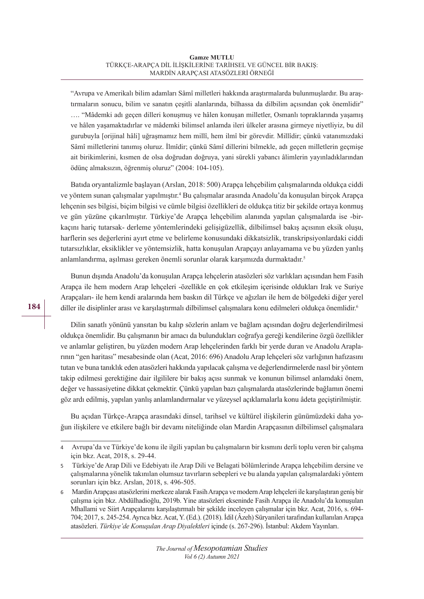"Avrupa ve Amerikalı bilim adamları Sâmî milletleri hakkında araştırmalarda bulunmuşlardır. Bu araştırmaların sonucu, bilim ve sanatın çeşitli alanlarında, bilhassa da dilbilim açısından çok önemlidir" …. "Mâdemki adı geçen dilleri konuşmuş ve hâlen konuşan milletler, Osmanlı topraklarında yaşamış ve hâlen yaşamaktadırlar ve mâdemki bilimsel anlamda ileri ülkeler arasına girmeye niyetliyiz, bu dil gurubuyla [orijinal hâli] uğraşmamız hem millî, hem ilmî bir görevdir. Millîdir; çünkü vatanımızdaki Sâmî milletlerini tanımış oluruz. İlmîdir; çünkü Sâmî dillerini bilmekle, adı geçen milletlerin geçmişe ait birikimlerini, kısmen de olsa doğrudan doğruya, yani sürekli yabancı âlimlerin yayınladıklarından ödünç almaksızın, öğrenmiş oluruz" (2004: 104-105).

Batıda oryantalizmle başlayan (Arslan, 2018: 500) Arapça lehçebilim çalışmalarında oldukça ciddi ve yöntem sunan çalışmalar yapılmıştır.<sup>4</sup> Bu çalışmalar arasında Anadolu'da konuşulan birçok Arapça lehçenin ses bilgisi, biçim bilgisi ve cümle bilgisi özellikleri de oldukça titiz bir şekilde ortaya konmuş ve gün yüzüne çıkarılmıştır. Türkiye'de Arapça lehçebilim alanında yapılan çalışmalarda ise -birkaçını hariç tutarsak- derleme yöntemlerindeki gelişigüzellik, dilbilimsel bakış açısının eksik oluşu, harflerin ses değerlerini ayırt etme ve belirleme konusundaki dikkatsizlik, transkripsiyonlardaki ciddi tutarsızlıklar, eksiklikler ve yöntemsizlik, hatta konuşulan Arapçayı anlayamama ve bu yüzden yanlış anlamlandırma, aşılması gereken önemli sorunlar olarak karşımızda durmaktadır. 5

Bunun dışında Anadolu'da konuşulan Arapça lehçelerin atasözleri söz varlıkları açısından hem Fasih Arapça ile hem modern Arap lehçeleri -özellikle en çok etkileşim içerisinde oldukları Irak ve Suriye Arapçaları- ile hem kendi aralarında hem baskın dil Türkçe ve ağızları ile hem de bölgedeki diğer yerel diller ile disiplinler arası ve karşılaştırmalı dilbilimsel çalışmalara konu edilmeleri oldukça önemlidir.6

Dilin sanatlı yönünü yansıtan bu kalıp sözlerin anlam ve bağlam açısından doğru değerlendirilmesi oldukça önemlidir. Bu çalışmanın bir amacı da bulundukları coğrafya gereği kendilerine özgü özellikler ve anlamlar geliştiren, bu yüzden modern Arap lehçelerinden farklı bir yerde duran ve Anadolu Araplarının "gen haritası" mesabesinde olan (Acat, 2016: 696) Anadolu Arap lehçeleri söz varlığının hafızasını tutan ve buna tanıklık eden atasözleri hakkında yapılacak çalışma ve değerlendirmelerde nasıl bir yöntem takip edilmesi gerektiğine dair ilgililere bir bakış açısı sunmak ve konunun bilimsel anlamdaki önem, değer ve hassasiyetine dikkat çekmektir. Çünkü yapılan bazı çalışmalarda atasözlerinde bağlamın önemi göz ardı edilmiş, yapılan yanlış anlamlandırmalar ve yüzeysel açıklamalarla konu âdeta geçiştirilmiştir.

Bu açıdan Türkçe-Arapça arasındaki dinsel, tarihsel ve kültürel ilişkilerin günümüzdeki daha yoğun ilişkilere ve etkilere bağlı bir devamı niteliğinde olan Mardin Arapçasının dilbilimsel çalışmalara

<sup>4</sup> Avrupa'da ve Türkiye'de konu ile ilgili yapılan bu çalışmaların bir kısmını derli toplu veren bir çalışma için bkz. Acat, 2018, s. 29-44.

<sup>5</sup> Türkiye'de Arap Dili ve Edebiyatı ile Arap Dili ve Belagati bölümlerinde Arapça lehçebilim dersine ve çalışmalarına yönelik takınılan olumsuz tavırların sebepleri ve bu alanda yapılan çalışmalardaki yöntem sorunları için bkz. Arslan, 2018, s. 496-505.

<sup>6</sup> Mardin Arapçası atasözlerini merkeze alarak Fasih Arapça ve modern Arap lehçeleri ile karşılaştıran geniş bir çalışma için bkz. Abdülhadioğlu, 2019b. Yine atasözleri ekseninde Fasih Arapça ile Anadolu'da konuşulan Mhallami ve Siirt Arapçalarını karşılaştırmalı bir şekilde inceleyen çalışmalar için bkz. Acat, 2016, s. 694- 704; 2017, s. 245-254. Ayrıca bkz. Acat, Y. (Ed.). (2018). İdil (Âzeh) Süryanileri tarafından kullanılan Arapça atasözleri. *Türkiye'de Konuşulan Arap Diyalektleri* içinde (s. 267-296). İstanbul: Akdem Yayınları.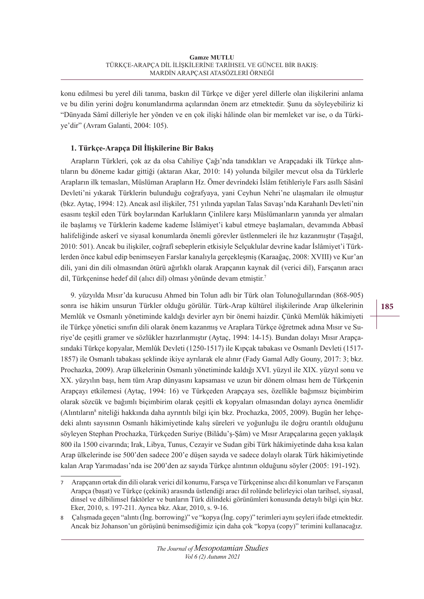konu edilmesi bu yerel dili tanıma, baskın dil Türkçe ve diğer yerel dillerle olan ilişkilerini anlama ve bu dilin yerini doğru konumlandırma açılarından önem arz etmektedir. Şunu da söyleyebiliriz ki "Dünyada Sâmî dilleriyle her yönden ve en çok ilişki hâlinde olan bir memleket var ise, o da Türkiye'dir" (Avram Galanti, 2004: 105).

# **1. Türkçe-Arapça Dil İlişkilerine Bir Bakış**

Arapların Türkleri, çok az da olsa Cahiliye Çağı'nda tanıdıkları ve Arapçadaki ilk Türkçe alıntıların bu döneme kadar gittiği (aktaran Akar, 2010: 14) yolunda bilgiler mevcut olsa da Türklerle Arapların ilk temasları, Müslüman Arapların Hz. Ömer devrindeki İslâm fetihleriyle Fars asıllı Sâsânî Devleti'ni yıkarak Türklerin bulunduğu coğrafyaya, yani Ceyhun Nehri'ne ulaşmaları ile olmuştur (bkz. Aytaç, 1994: 12). Ancak asıl ilişkiler, 751 yılında yapılan Talas Savaşı'nda Karahanlı Devleti'nin esasını teşkil eden Türk boylarından Karlukların Çinlilere karşı Müslümanların yanında yer almaları ile başlamış ve Türklerin kademe kademe İslâmiyet'i kabul etmeye başlamaları, devamında Abbasî halifeliğinde askerî ve siyasal konumlarda önemli görevler üstlenmeleri ile hız kazanmıştır (Taşağıl, 2010: 501). Ancak bu ilişkiler, coğrafî sebeplerin etkisiyle Selçuklular devrine kadar İslâmiyet'i Türklerden önce kabul edip benimseyen Farslar kanalıyla gerçekleşmiş (Karaağaç, 2008: XVIII) ve Kur'an dili, yani din dili olmasından ötürü ağırlıklı olarak Arapçanın kaynak dil (verici dil), Farsçanın aracı dil, Türkçeninse hedef dil (alıcı dil) olması yönünde devam etmiştir.7

9. yüzyılda Mısır'da kurucusu Ahmed bin Tolun adlı bir Türk olan Tolunoğullarından (868-905) sonra ise hâkim unsurun Türkler olduğu görülür. Türk-Arap kültürel ilişkilerinde Arap ülkelerinin Memlûk ve Osmanlı yönetiminde kaldığı devirler ayrı bir önemi haizdir. Çünkü Memlûk hâkimiyeti ile Türkçe yönetici sınıfın dili olarak önem kazanmış ve Araplara Türkçe öğretmek adına Mısır ve Suriye'de çeşitli gramer ve sözlükler hazırlanmıştır (Aytaç, 1994: 14-15). Bundan dolayı Mısır Arapçasındaki Türkçe kopyalar, Memlûk Devleti (1250-1517) ile Kıpçak tabakası ve Osmanlı Devleti (1517- 1857) ile Osmanlı tabakası şeklinde ikiye ayrılarak ele alınır (Fady Gamal Adly Gouny, 2017: 3; bkz. Prochazka, 2009). Arap ülkelerinin Osmanlı yönetiminde kaldığı XVI. yüzyıl ile XIX. yüzyıl sonu ve XX. yüzyılın başı, hem tüm Arap dünyasını kapsaması ve uzun bir dönem olması hem de Türkçenin Arapçayı etkilemesi (Aytaç, 1994: 16) ve Türkçeden Arapçaya ses, özellikle bağımsız biçimbirim olarak sözcük ve bağımlı biçimbirim olarak çeşitli ek kopyaları olmasından dolayı ayrıca önemlidir (Alıntıların<sup>8</sup> niteliği hakkında daha ayrıntılı bilgi için bkz. Prochazka, 2005, 2009). Bugün her lehçedeki alıntı sayısının Osmanlı hâkimiyetinde kalış süreleri ve yoğunluğu ile doğru orantılı olduğunu söyleyen Stephan Prochazka, Türkçeden Suriye (Bilâdu'ş-Şâm) ve Mısır Arapçalarına geçen yaklaşık 800 ila 1500 civarında; Irak, Libya, Tunus, Cezayir ve Sudan gibi Türk hâkimiyetinde daha kısa kalan Arap ülkelerinde ise 500'den sadece 200'e düşen sayıda ve sadece dolaylı olarak Türk hâkimiyetinde kalan Arap Yarımadası'nda ise 200'den az sayıda Türkçe alıntının olduğunu söyler (2005: 191-192).

<sup>7</sup> Arapçanın ortak din dili olarak verici dil konumu, Farsça ve Türkçeninse alıcı dil konumları ve Farsçanın Arapça (başat) ve Türkçe (çekinik) arasında üstlendiği aracı dil rolünde belirleyici olan tarihsel, siyasal, dinsel ve dilbilimsel faktörler ve bunların Türk dilindeki görünümleri konusunda detaylı bilgi için bkz. Eker, 2010, s. 197-211. Ayrıca bkz. Akar, 2010, s. 9-16.

<sup>8</sup> Çalışmada geçen "alıntı (İng. borrowing)" ve "kopya (İng. copy)" terimleri aynı şeyleri ifade etmektedir. Ancak biz Johanson'un görüşünü benimsediğimiz için daha çok "kopya (copy)" terimini kullanacağız.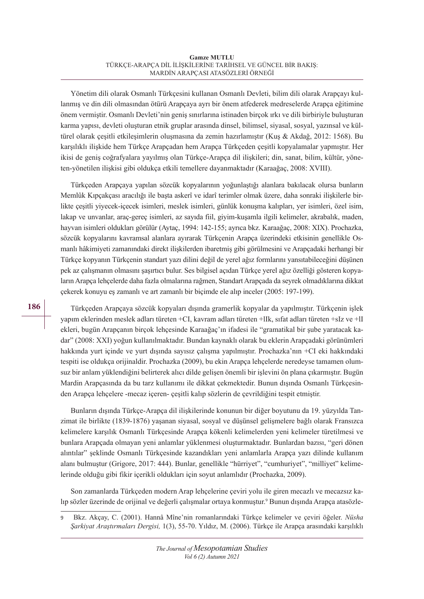Yönetim dili olarak Osmanlı Türkçesini kullanan Osmanlı Devleti, bilim dili olarak Arapçayı kullanmış ve din dili olmasından ötürü Arapçaya ayrı bir önem atfederek medreselerde Arapça eğitimine önem vermiştir. Osmanlı Devleti'nin geniş sınırlarına istinaden birçok ırkı ve dili birbiriyle buluşturan karma yapısı, devleti oluşturan etnik gruplar arasında dinsel, bilimsel, siyasal, sosyal, yazınsal ve kültürel olarak çeşitli etkileşimlerin oluşmasına da zemin hazırlamıştır (Kuş & Akdağ, 2012: 1568). Bu karşılıklı ilişkide hem Türkçe Arapçadan hem Arapça Türkçeden çeşitli kopyalamalar yapmıştır. Her ikisi de geniş coğrafyalara yayılmış olan Türkçe-Arapça dil ilişkileri; din, sanat, bilim, kültür, yöneten-yönetilen ilişkisi gibi oldukça etkili temellere dayanmaktadır (Karaağaç, 2008: XVIII).

Türkçeden Arapçaya yapılan sözcük kopyalarının yoğunlaştığı alanlara bakılacak olursa bunların Memlûk Kıpçakçası aracılığı ile başta askerî ve idarî terimler olmak üzere, daha sonraki ilişkilerle birlikte çeşitli yiyecek-içecek isimleri, meslek isimleri, günlük konuşma kalıpları, yer isimleri, özel isim, lakap ve unvanlar, araç-gereç isimleri, az sayıda fiil, giyim-kuşamla ilgili kelimeler, akrabalık, maden, hayvan isimleri oldukları görülür (Aytaç, 1994: 142-155; ayrıca bkz. Karaağaç, 2008: XIX). Prochazka, sözcük kopyalarını kavramsal alanlara ayırarak Türkçenin Arapça üzerindeki etkisinin genellikle Osmanlı hâkimiyeti zamanındaki direkt ilişkilerden ibaretmiş gibi görülmesini ve Arapçadaki herhangi bir Türkçe kopyanın Türkçenin standart yazı dilini değil de yerel ağız formlarını yansıtabileceğini düşünen pek az çalışmanın olmasını şaşırtıcı bulur. Ses bilgisel açıdan Türkçe yerel ağız özelliği gösteren kopyaların Arapça lehçelerde daha fazla olmalarına rağmen, Standart Arapçada da seyrek olmadıklarına dikkat çekerek konuyu eş zamanlı ve art zamanlı bir biçimde ele alıp inceler (2005: 197-199).

Türkçeden Arapçaya sözcük kopyaları dışında gramerlik kopyalar da yapılmıştır. Türkçenin işlek yapım eklerinden meslek adları türeten +CI, kavram adları türeten +lIk, sıfat adları türeten +sIz ve +lI ekleri, bugün Arapçanın birçok lehçesinde Karaağaç'ın ifadesi ile "gramatikal bir şube yaratacak kadar" (2008: XXI) yoğun kullanılmaktadır. Bundan kaynaklı olarak bu eklerin Arapçadaki görünümleri hakkında yurt içinde ve yurt dışında sayısız çalışma yapılmıştır. Prochazka'nın +CI eki hakkındaki tespiti ise oldukça orijinaldir. Prochazka (2009), bu ekin Arapça lehçelerde neredeyse tamamen olumsuz bir anlam yüklendiğini belirterek alıcı dilde gelişen önemli bir işlevini ön plana çıkarmıştır. Bugün Mardin Arapçasında da bu tarz kullanımı ile dikkat çekmektedir. Bunun dışında Osmanlı Türkçesinden Arapça lehçelere -mecaz içeren- çeşitli kalıp sözlerin de çevrildiğini tespit etmiştir.

Bunların dışında Türkçe-Arapça dil ilişkilerinde konunun bir diğer boyutunu da 19. yüzyılda Tanzimat ile birlikte (1839-1876) yaşanan siyasal, sosyal ve düşünsel gelişmelere bağlı olarak Fransızca kelimelere karşılık Osmanlı Türkçesinde Arapça kökenli kelimelerden yeni kelimeler türetilmesi ve bunlara Arapçada olmayan yeni anlamlar yüklenmesi oluşturmaktadır. Bunlardan bazısı, "geri dönen alıntılar" şeklinde Osmanlı Türkçesinde kazandıkları yeni anlamlarla Arapça yazı dilinde kullanım alanı bulmuştur (Grigore, 2017: 444). Bunlar, genellikle "hürriyet", "cumhuriyet", "milliyet" kelimelerinde olduğu gibi fikir içerikli oldukları için soyut anlamlıdır (Prochazka, 2009).

Son zamanlarda Türkçeden modern Arap lehçelerine çeviri yolu ile giren mecazlı ve mecazsız kalıp sözler üzerinde de orijinal ve değerli çalışmalar ortaya konmuştur.9 Bunun dışında Arapça atasözle-

<sup>9</sup> Bkz. Akçay, C. (2001). Hannâ Mîne'nin romanlarındaki Türkçe kelimeler ve çeviri öğeler. *Nüsha Şarkiyat Araştırmaları Dergisi,* 1(3), 55-70. Yıldız, M. (2006). Türkçe ile Arapça arasındaki karşılıklı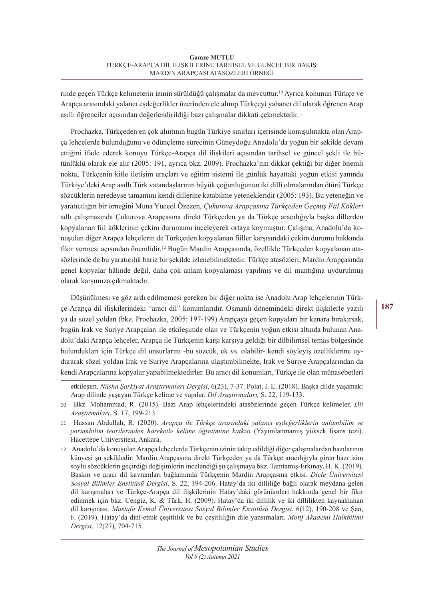rinde geçen Türkçe kelimelerin izinin sürüldüğü çalışmalar da mevcuttur.<sup>10</sup> Ayrıca konunun Türkçe ve Arapça arasındaki yalancı eşdeğerlikler üzerinden ele alınıp Türkçeyi yabancı dil olarak öğrenen Arap asıllı öğrenciler açısından değerlendirildiği bazı çalışmalar dikkati çekmektedir. 11

Prochazka, Türkçeden en çok alıntının bugün Türkiye sınırları içerisinde konuşulmakta olan Arapça lehçelerde bulunduğunu ve ödünçleme sürecinin Güneydoğu Anadolu'da yoğun bir şekilde devam ettiğini ifade ederek konuyu Türkçe-Arapça dil ilişkileri açısından tarihsel ve güncel şekli ile bütünlüklü olarak ele alır (2005: 191, ayrıca bkz. 2009). Prochazka'nın dikkat çektiği bir diğer önemli nokta, Türkçenin kitle iletişim araçları ve eğitim sistemi ile günlük hayattaki yoğun etkisi yanında Türkiye'deki Arap asıllı Türk vatandaşlarının büyük çoğunluğunun iki dilli olmalarından ötürü Türkçe sözcüklerin neredeyse tamamını kendi dillerine katabilme yetenekleridir (2005: 193). Bu yeteneğin ve yaratıcılığın bir örneğini Muna Yüceol Özezen, *Çukurova Arapçasına Türkçeden Geçmiş Fiil Kökleri*  adlı çalışmasında Çukurova Arapçasına direkt Türkçeden ya da Türkçe aracılığıyla başka dillerden kopyalanan fiil köklerinin çekim durumunu inceleyerek ortaya koymuştur. Çalışma, Anadolu'da konuşulan diğer Arapça lehçelerin de Türkçeden kopyalanan fiiller karşısındaki çekim durumu hakkında fikir vermesi açısından önemlidir.12 Bugün Mardin Arapçasında, özellikle Türkçeden kopyalanan atasözlerinde de bu yaratıcılık bariz bir şekilde izlenebilmektedir. Türkçe atasözleri; Mardin Arapçasında genel kopyalar hâlinde değil, daha çok anlam kopyalaması yapılmış ve dil mantığına uydurulmuş olarak karşımıza çıkmaktadır.

Düşünülmesi ve göz ardı edilmemesi gereken bir diğer nokta ise Anadolu Arap lehçelerinin Türkçe-Arapça dil ilişkilerindeki "aracı dil" konumlarıdır. Osmanlı dönemindeki direkt ilişkilerle yazılı ya da sözel yoldan (bkz. Prochazka, 2005: 197-199) Arapçaya geçen kopyaları bir kenara bırakırsak, bugün Irak ve Suriye Arapçaları ile etkileşimde olan ve Türkçenin yoğun etkisi altında bulunan Anadolu'daki Arapça lehçeler, Arapça ile Türkçenin karşı karşıya geldiği bir dilbilimsel temas bölgesinde bulundukları için Türkçe dil unsurlarını -bu sözcük, ek vs. olabilir- kendi söyleyiş özelliklerine uydurarak sözel yoldan Irak ve Suriye Arapçalarına ulaştırabilmekte, Irak ve Suriye Arapçalarından da kendi Arapçalarına kopyalar yapabilmektedirler. Bu aracı dil konumları, Türkçe ile olan münasebetleri

etkileşim. *Nüsha Şarkiyat Araştırmaları Dergisi*, 6(23), 7-37. Polat, İ. E. (2018). Başka dilde yaşamak: Arap dilinde yaşayan Türkçe kelime ve yapılar. *Dil Araştırmaları,* S. 22, 119-133.

<sup>10</sup> Bkz. Mohammad, R. (2015). Bazı Arap lehçelerindeki atasözlerinde geçen Türkçe kelimeler. *Dil Araştırmaları*, S. 17, 199-213.

<sup>11</sup> Hassan Abdullah, R. (2020). *Arapça ile Türkçe arasındaki yalancı eşdeğerliklerin anlambilim ve yorumbilim teorilerinden hareketle kelime öğretimine katkısı* (Yayımlanmamış yüksek lisans tezi). Hacettepe Üniversitesi, Ankara.

<sup>12</sup> Anadolu'da konuşulan Arapça lehçelerde Türkçenin izinin takip edildiği diğer çalışmalardan bazılarının künyesi şu şekildedir: Mardin Arapçasına direkt Türkçeden ya da Türkçe aracılığıyla giren bazı isim soylu sözcüklerin geçirdiği değişimlerin incelendiği şu çalışmaya bkz. Tamtamış-Erkınay, H. K. (2019). Baskın ve aracı dil kavramları bağlamında Türkçenin Mardin Arapçasına etkisi. *Dicle Üniversitesi Sosyal Bilimler Enstitüsü Dergisi*, S. 22, 194-206. Hatay'da iki dilliliğe bağlı olarak meydana gelen dil karışmaları ve Türkçe-Arapça dil ilişkilerinin Hatay'daki görünümleri hakkında genel bir fikir edinmek için bkz. Cengiz, K. & Türk, H. (2009). Hatay'da iki dillilik ve iki dillilikten kaynaklanan dil karışması. *Mustafa Kemal Üniversitesi Sosyal Bilimler Enstitüsü Dergisi*, 6(12), 190-208 ve Şan, F. (2019). Hatay'da dinî-etnik çeşitlilik ve bu çeşitliliğin dile yansımaları. *Motif Akademi Halkbilimi Dergisi*, 12(27), 704-715.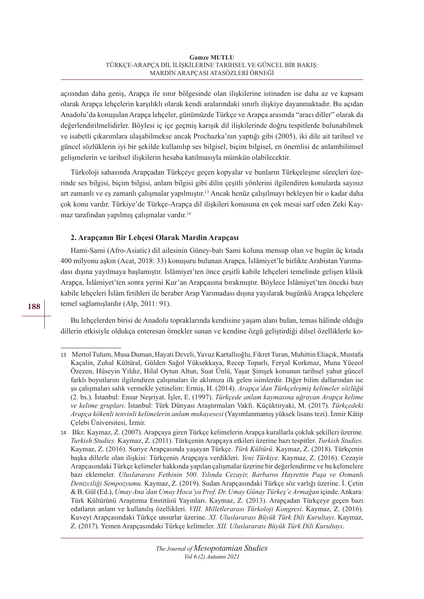açısından daha geniş, Arapça ile sınır bölgesinde olan ilişkilerine istinaden ise daha az ve kapsam olarak Arapça lehçelerin karşılıklı olarak kendi aralarındaki sınırlı ilişkiye dayanmaktadır. Bu açıdan Anadolu'da konuşulan Arapça lehçeler, günümüzde Türkçe ve Arapça arasında "aracı diller" olarak da değerlendirilmelidirler. Böylesi iç içe geçmiş karışık dil ilişkilerinde doğru tespitlerde bulunabilmek ve isabetli çıkarımlara ulaşabilmekse ancak Prochazka'nın yaptığı gibi (2005), iki dile ait tarihsel ve güncel sözlüklerin iyi bir şekilde kullanılıp ses bilgisel, biçim bilgisel, en önemlisi de anlambilimsel gelişmelerin ve tarihsel ilişkilerin hesaba katılmasıyla mümkün olabilecektir.

Türkoloji sahasında Arapçadan Türkçeye geçen kopyalar ve bunların Türkçeleşme süreçleri üzerinde ses bilgisi, biçim bilgisi, anlam bilgisi gibi dilin çeşitli yönlerini ilgilendiren konularda sayısız art zamanlı ve eş zamanlı çalışmalar yapılmıştır.13 Ancak henüz çalışılmayı bekleyen bir o kadar daha çok konu vardır. Türkiye'de Türkçe-Arapça dil ilişkileri konusuna en çok mesai sarf eden Zeki Kaymaz tarafından yapılmış çalışmalar vardır.14

# **2. Arapçanın Bir Lehçesi Olarak Mardin Arapçası**

Hami-Sami (Afro-Asiatic) dil ailesinin Güney-batı Sami koluna mensup olan ve bugün üç kıtada 400 milyonu aşkın (Acat, 2018: 33) konuşuru bulunan Arapça, İslâmiyet'le birlikte Arabistan Yarımadası dışına yayılmaya başlamıştır. İslâmiyet'ten önce çeşitli kabile lehçeleri temelinde gelişen klâsik Arapça, İslâmiyet'ten sonra yerini Kur'an Arapçasına bırakmıştır. Böylece İslâmiyet'ten önceki bazı kabile lehçeleri İslâm fetihleri ile beraber Arap Yarımadası dışına yayılarak bugünkü Arapça lehçelere temel sağlamışlardır (Alp, 2011: 91).

Bu lehçelerden birisi de Anadolu topraklarında kendisine yaşam alanı bulan, temas hâlinde olduğu dillerin etkisiyle oldukça enteresan örnekler sunan ve kendine özgü geliştirdiği dilsel özelliklerle ko-

<sup>13</sup> Mertol Tulum, Musa Duman, Hayati Develi, Yavuz Kartallıoğlu, Fikret Turan, Muhittin Eliaçık, Mustafa Kaçalin, Zuhal Kültüral, Gülden Sağol Yüksekkaya, Recep Toparlı, Feryal Korkmaz, Muna Yüceol Özezen, Hüseyin Yıldız, Hilal Oytun Altun, Suat Ünlü, Yaşar Şimşek konunun tarihsel yahut güncel farklı boyutlarını ilgilendiren çalışmaları ile aklımıza ilk gelen isimlerdir. Diğer bilim dallarından ise şu çalışmaları salık vermekle yetinelim: Ermiş, H. (2014). *Arapça'dan Türkçeleşmiş kelimeler sözlüğü* (2. bs.). İstanbul: Ensar Neşriyat. İşler, E. (1997). *Türkçede anlam kaymasına uğrayan Arapça kelime ve kelime grupları*. İstanbul: Türk Dünyası Araştırmaları Vakfı. Küçüktiryaki, M. (2017). *Türkçedeki Arapça kökenli tenvinli kelimelerin anlam mukayesesi* (Yayımlanmamış yüksek lisans tezi). İzmir Kâtip Çelebi Üniversitesi, İzmir.

<sup>14</sup> Bkz. Kaymaz, Z. (2007). Arapçaya giren Türkçe kelimelerin Arapça kurallarla çokluk şekilleri üzerine. *Turkish Studies*. Kaymaz, Z. (2011). Türkçenin Arapçaya etkileri üzerine bazı tespitler. *Turkish Studies*. Kaymaz, Z. (2016). Suriye Arapçasında yaşayan Türkçe. *Türk Kültürü.* Kaymaz, Z. (2018). Türkçenin başka dillerle olan ilişkisi: Türkçenin Arapçaya verdikleri. *Yeni Türkiye.* Kaymaz, Z. (2016). Cezayir Arapçasındaki Türkçe kelimeler hakkında yapılan çalışmalar üzerine bir değerlendirme ve bu kelimelere bazı eklemeler. *Uluslararası Fethinin 500. Yılında Cezayir, Barbaros Hayrettin Paşa ve Osmanlı Denizciliği Sempozyumu*. Kaymaz, Z. (2019). Sudan Arapçasındaki Türkçe söz varlığı üzerine. İ. Çetin & B. Gül (Ed.), *Umay Ana'dan Umay Hoca'ya Prof. Dr. Umay Günay Türkeş'e Armağan* içinde. Ankara: Türk Kültürünü Araştırma Enstitüsü Yayınları. Kaymaz, Z. (2013). Arapçadan Türkçeye geçen bazı edatların anlam ve kullanılış özellikleri. *VIII. Milletlerarası Türkoloji Kongresi*. Kaymaz, Z. (2016). Kuveyt Arapçasındaki Türkçe unsurlar üzerine. *XI. Uluslararası Büyük Türk Dili Kurultayı*. Kaymaz, Z. (2017). Yemen Arapçasındaki Türkçe kelimeler. *XII. Uluslararası Büyük Türk Dili Kurultayı*.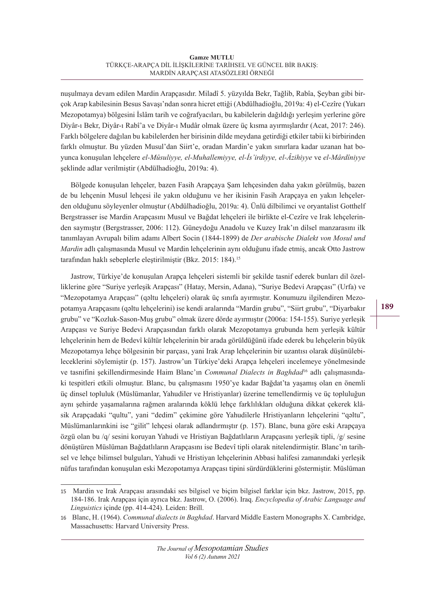nuşulmaya devam edilen Mardin Arapçasıdır. Miladî 5. yüzyılda Bekr, Tağlib, Rabîa, Şeyban gibi birçok Arap kabilesinin Besus Savaşı'ndan sonra hicret ettiği (Abdülhadioğlu, 2019a: 4) el-Cezîre (Yukarı Mezopotamya) bölgesini İslâm tarih ve coğrafyacıları, bu kabilelerin dağıldığı yerleşim yerlerine göre Diyâr-ı Bekr, Diyâr-ı Rabî'a ve Diyâr-ı Mudâr olmak üzere üç kısma ayırmışlardır (Acat, 2017: 246). Farklı bölgelere dağılan bu kabilelerden her birisinin dilde meydana getirdiği etkiler tabii ki birbirinden farklı olmuştur. Bu yüzden Musul'dan Siirt'e, oradan Mardin'e yakın sınırlara kadar uzanan hat boyunca konuşulan lehçelere *el-Mûsuliyye, el-Muhallemiyye, el-İs'irdiyye, el-Âzihiyye* ve *el-Mârdîniyye*  şeklinde adlar verilmiştir (Abdülhadioğlu, 2019a: 4).

Bölgede konuşulan lehçeler, bazen Fasih Arapçaya Şam lehçesinden daha yakın görülmüş, bazen de bu lehçenin Musul lehçesi ile yakın olduğunu ve her ikisinin Fasih Arapçaya en yakın lehçelerden olduğunu söyleyenler olmuştur (Abdülhadioğlu, 2019a: 4). Ünlü dilbilimci ve oryantalist Gotthelf Bergstrasser ise Mardin Arapçasını Musul ve Bağdat lehçeleri ile birlikte el-Cezîre ve Irak lehçelerinden saymıştır (Bergstrasser, 2006: 112). Güneydoğu Anadolu ve Kuzey Irak'ın dilsel manzarasını ilk tanımlayan Avrupalı bilim adamı Albert Socin (1844-1899) de *Der arabische Dialekt von Mosul und Mardin* adlı çalışmasında Musul ve Mardin lehçelerinin aynı olduğunu ifade etmiş, ancak Otto Jastrow tarafından haklı sebeplerle eleştirilmiştir (Bkz. 2015: 184).15

Jastrow, Türkiye'de konuşulan Arapça lehçeleri sistemli bir şekilde tasnif ederek bunları dil özelliklerine göre "Suriye yerleşik Arapçası" (Hatay, Mersin, Adana), "Suriye Bedevi Arapçası" (Urfa) ve "Mezopotamya Arapçası" (qǝltu lehçeleri) olarak üç sınıfa ayırmıştır. Konumuzu ilgilendiren Mezopotamya Arapçasını (qǝltu lehçelerini) ise kendi aralarında "Mardin grubu", "Siirt grubu", "Diyarbakır grubu" ve "Kozluk-Sason-Muş grubu" olmak üzere dörde ayırmıştır (2006a: 154-155). Suriye yerleşik Arapçası ve Suriye Bedevi Arapçasından farklı olarak Mezopotamya grubunda hem yerleşik kültür lehçelerinin hem de Bedevî kültür lehçelerinin bir arada görüldüğünü ifade ederek bu lehçelerin büyük Mezopotamya lehçe bölgesinin bir parçası, yani Irak Arap lehçelerinin bir uzantısı olarak düşünülebileceklerini söylemiştir (p. 157). Jastrow'un Türkiye'deki Arapça lehçeleri incelemeye yönelmesinde ve tasnifini şekillendirmesinde Haim Blanc'ın *Communal Dialects in Baghdad*16 adlı çalışmasındaki tespitleri etkili olmuştur. Blanc, bu çalışmasını 1950'ye kadar Bağdat'ta yaşamış olan en önemli üç dinsel topluluk (Müslümanlar, Yahudiler ve Hristiyanlar) üzerine temellendirmiş ve üç topluluğun aynı şehirde yaşamalarına rağmen aralarında köklü lehçe farklılıkları olduğuna dikkat çekerek klâsik Arapçadaki "qultu", yani "dedim" çekimine göre Yahudilerle Hristiyanların lehçelerini "qǝltu", Müslümanlarınkini ise "gilit" lehçesi olarak adlandırmıştır (p. 157). Blanc, buna göre eski Arapçaya özgü olan bu /q/ sesini koruyan Yahudi ve Hristiyan Bağdatlıların Arapçasını yerleşik tipli, /g/ sesine dönüştüren Müslüman Bağdatlıların Arapçasını ise Bedevî tipli olarak nitelendirmiştir. Blanc'ın tarihsel ve lehçe bilimsel bulguları, Yahudi ve Hristiyan lehçelerinin Abbasi halifesi zamanındaki yerleşik nüfus tarafından konuşulan eski Mezopotamya Arapçası tipini sürdürdüklerini göstermiştir. Müslüman

<sup>15</sup> Mardin ve Irak Arapçası arasındaki ses bilgisel ve biçim bilgisel farklar için bkz. Jastrow, 2015, pp. 184-186. Irak Arapçası için ayrıca bkz. Jastrow, O. (2006). Iraq. *Encyclopedia of Arabic Language and Linguistics* içinde (pp. 414-424). Leiden: Brill.

<sup>16</sup> Blanc, H. (1964). *Communal dialects in Baghdad*. Harvard Middle Eastern Monographs X. Cambridge, Massachusetts: Harvard University Press.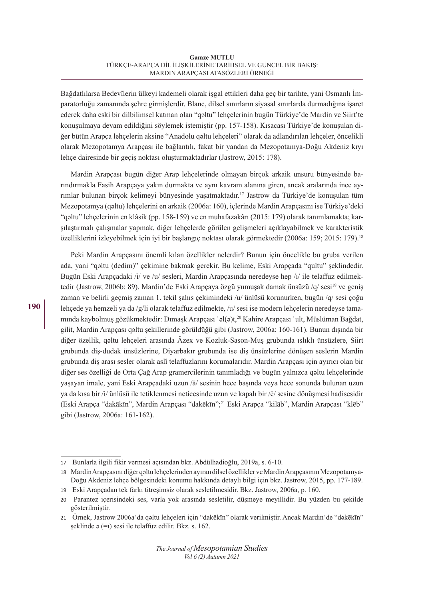Bağdatlılarsa Bedevîlerin ülkeyi kademeli olarak işgal ettikleri daha geç bir tarihte, yani Osmanlı İmparatorluğu zamanında şehre girmişlerdir. Blanc, dilsel sınırların siyasal sınırlarda durmadığına işaret ederek daha eski bir dilbilimsel katman olan "qǝltu" lehçelerinin bugün Türkiye'de Mardin ve Siirt'te konuşulmaya devam edildiğini söylemek istemiştir (pp. 157-158). Kısacası Türkiye'de konuşulan diğer bütün Arapça lehçelerin aksine "Anadolu qǝltu lehçeleri" olarak da adlandırılan lehçeler, öncelikli olarak Mezopotamya Arapçası ile bağlantılı, fakat bir yandan da Mezopotamya-Doğu Akdeniz kıyı lehçe dairesinde bir geçiş noktası oluşturmaktadırlar (Jastrow, 2015: 178).

Mardin Arapçası bugün diğer Arap lehçelerinde olmayan birçok arkaik unsuru bünyesinde barındırmakla Fasih Arapçaya yakın durmakta ve aynı kavram alanına giren, ancak aralarında ince ayrımlar bulunan birçok kelimeyi bünyesinde yaşatmaktadır.17 Jastrow da Türkiye'de konuşulan tüm Mezopotamya (qǝltu) lehçelerini en arkaik (2006a: 160), içlerinde Mardin Arapçasını ise Türkiye'deki "qǝltu" lehçelerinin en klâsik (pp. 158-159) ve en muhafazakârı (2015: 179) olarak tanımlamakta; karşılaştırmalı çalışmalar yapmak, diğer lehçelerde görülen gelişmeleri açıklayabilmek ve karakteristik özelliklerini izleyebilmek için iyi bir başlangıç noktası olarak görmektedir (2006a: 159; 2015: 179).18

Peki Mardin Arapçasını önemli kılan özellikler nelerdir? Bunun için öncelikle bu gruba verilen ada, yani "qǝltu (dedim)" çekimine bakmak gerekir. Bu kelime, Eski Arapçada "qultu" şeklindedir. Bugün Eski Arapçadaki /i/ ve /u/ sesleri, Mardin Arapçasında neredeyse hep /ɪ/ ile telaffuz edilmektedir (Jastrow, 2006b: 89). Mardin'de Eski Arapçaya özgü yumuşak damak ünsüzü /q/ sesi<sup>19</sup> ve geniş zaman ve belirli geçmiş zaman 1. tekil şahıs çekimindeki /u/ ünlüsü korunurken, bugün /q/ sesi çoğu lehçede ya hemzeli ya da /g/li olarak telaffuz edilmekte, /u/ sesi ise modern lehçelerin neredeyse tamamında kaybolmuş gözükmektedir: Dımaşk Arapçası ʾǝl(ǝ)t,20 Kahire Arapçası ʾult, Müslüman Bağdat, gilit, Mardin Arapçası qǝltu şekillerinde görüldüğü gibi (Jastrow, 2006a: 160-161). Bunun dışında bir diğer özellik, qǝltu lehçeleri arasında Âzex ve Kozluk-Sason-Muş grubunda ıslıklı ünsüzlere, Siirt grubunda diş-dudak ünsüzlerine, Diyarbakır grubunda ise diş ünsüzlerine dönüşen seslerin Mardin grubunda diş arası sesler olarak aslî telaffuzlarını korumalarıdır. Mardin Arapçası için ayırıcı olan bir diğer ses özelliği de Orta Çağ Arap gramercilerinin tanımladığı ve bugün yalnızca qǝltu lehçelerinde yaşayan imale, yani Eski Arapçadaki uzun /ā/ sesinin hece başında veya hece sonunda bulunan uzun ya da kısa bir /i/ ünlüsü ile tetiklenmesi neticesinde uzun ve kapalı bir /ē/ sesine dönüşmesi hadisesidir (Eski Arapça "dakākīn", Mardin Arapçası "dakēkīn";21 Eski Arapça "kilāb", Mardin Arapçası "klēb" gibi (Jastrow, 2006a: 161-162).

<sup>17</sup> Bunlarla ilgili fikir vermesi açısından bkz. Abdülhadioğlu, 2019a, s. 6-10.

<sup>18</sup> Mardin Arapçasını diğer qǝltu lehçelerinden ayıran dilsel özellikler ve Mardin Arapçasının Mezopotamya-Doğu Akdeniz lehçe bölgesindeki konumu hakkında detaylı bilgi için bkz. Jastrow, 2015, pp. 177-189.

<sup>19</sup> Eski Arapçadan tek farkı titreşimsiz olarak sesletilmesidir. Bkz. Jastrow, 2006a, p. 160.

<sup>20</sup> Parantez içerisindeki ses, varla yok arasında sesletilir, düşmeye meyillidir. Bu yüzden bu şekilde gösterilmiştir.

<sup>21</sup> Örnek, Jastrow 2006a'da qǝltu lehçeleri için "dakēkīn" olarak verilmiştir. Ancak Mardin'de "dǝkēkīn" şeklinde ǝ (=ı) sesi ile telaffuz edilir. Bkz. s. 162.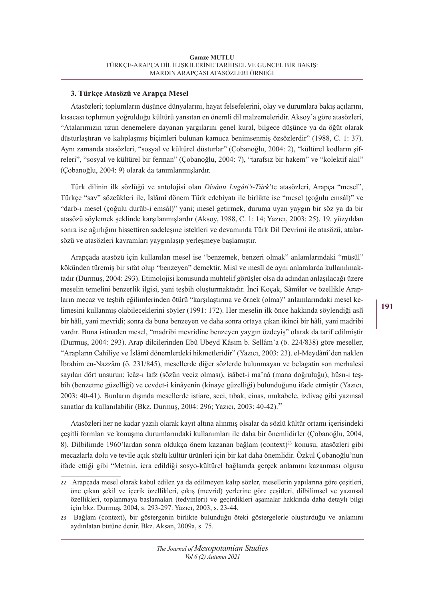# **3. Türkçe Atasözü ve Arapça Mesel**

Atasözleri; toplumların düşünce dünyalarını, hayat felsefelerini, olay ve durumlara bakış açılarını, kısacası toplumun yoğrulduğu kültürü yansıtan en önemli dil malzemeleridir. Aksoy'a göre atasözleri, "Atalarımızın uzun denemelere dayanan yargılarını genel kural, bilgece düşünce ya da öğüt olarak düsturlaştıran ve kalıplaşmış biçimleri bulunan kamuca benimsenmiş özsözlerdir" (1988, C. 1: 37). Aynı zamanda atasözleri, "sosyal ve kültürel düsturlar" (Çobanoğlu, 2004: 2), "kültürel kodların şifreleri", "sosyal ve kültürel bir ferman" (Çobanoğlu, 2004: 7), "tarafsız bir hakem" ve "kolektif akıl" (Çobanoğlu, 2004: 9) olarak da tanımlanmışlardır.

Türk dilinin ilk sözlüğü ve antolojisi olan *Dîvânu Lugâti't-Türk*'te atasözleri, Arapça "mesel", Türkçe "sav" sözcükleri ile, İslâmî dönem Türk edebiyatı ile birlikte ise "mesel (çoğulu emsâl)" ve "darb-ı mesel (çoğulu durûb-i emsâl)" yani; mesel getirmek, duruma uyan yaygın bir söz ya da bir atasözü söylemek şeklinde karşılanmışlardır (Aksoy, 1988, C. 1: 14; Yazıcı, 2003: 25). 19. yüzyıldan sonra ise ağırlığını hissettiren sadeleşme istekleri ve devamında Türk Dil Devrimi ile atasözü, atalarsözü ve atasözleri kavramları yaygınlaşıp yerleşmeye başlamıştır.

Arapçada atasözü için kullanılan mesel ise "benzemek, benzeri olmak" anlamlarındaki "müsûl" kökünden türemiş bir sıfat olup "benzeyen" demektir. Misl ve mesîl de aynı anlamlarda kullanılmaktadır (Durmuş, 2004: 293). Etimolojisi konusunda muhtelif görüşler olsa da adından anlaşılacağı üzere meselin temelini benzerlik ilgisi, yani teşbih oluşturmaktadır. İnci Koçak, Sâmîler ve özellikle Arapların mecaz ve teşbih eğilimlerinden ötürü "karşılaştırma ve örnek (olma)" anlamlarındaki mesel kelimesini kullanmış olabileceklerini söyler (1991: 172). Her meselin ilk önce hakkında söylendiği aslî bir hâli, yani mevridi; sonra da buna benzeyen ve daha sonra ortaya çıkan ikinci bir hâli, yani madribi vardır. Buna istinaden mesel, "madribi mevridine benzeyen yaygın özdeyiş" olarak da tarif edilmiştir (Durmuş, 2004: 293). Arap dilcilerinden Ebû Ubeyd Kâsım b. Sellâm'a (ö. 224/838) göre meseller, "Arapların Cahiliye ve İslâmî dönemlerdeki hikmetleridir" (Yazıcı, 2003: 23). el-Meydânî'den naklen İbrahim en-Nazzâm (ö. 231/845), mesellerde diğer sözlerde bulunmayan ve belagatin son merhalesi sayılan dört unsurun; îcâz-ı lafz (sözün veciz olması), isâbet-i ma'nâ (mana doğruluğu), hüsn-i teşbîh (benzetme güzelliği) ve cevdet-i kinâyenin (kinaye güzelliği) bulunduğunu ifade etmiştir (Yazıcı, 2003: 40-41). Bunların dışında mesellerde istiare, seci, tıbak, cinas, mukabele, izdivaç gibi yazınsal sanatlar da kullanılabilir (Bkz. Durmuş, 2004: 296; Yazıcı, 2003: 40-42).<sup>22</sup>

Atasözleri her ne kadar yazılı olarak kayıt altına alınmış olsalar da sözlü kültür ortamı içerisindeki çeşitli formları ve konuşma durumlarındaki kullanımları ile daha bir önemlidirler (Çobanoğlu, 2004, 8). Dilbilimde 1960'lardan sonra oldukça önem kazanan bağlam (context)23 konusu, atasözleri gibi mecazlarla dolu ve tevile açık sözlü kültür ürünleri için bir kat daha önemlidir. Özkul Çobanoğlu'nun ifade ettiği gibi "Metnin, icra edildiği sosyo-kültürel bağlamda gerçek anlamını kazanması olgusu

<sup>22</sup> Arapçada mesel olarak kabul edilen ya da edilmeyen kalıp sözler, mesellerin yapılarına göre çeşitleri, öne çıkan şekil ve içerik özellikleri, çıkış (mevrid) yerlerine göre çeşitleri, dilbilimsel ve yazınsal özellikleri, toplanmaya başlamaları (tedvinleri) ve geçirdikleri aşamalar hakkında daha detaylı bilgi için bkz. Durmuş, 2004, s. 293-297. Yazıcı, 2003, s. 23-44.

<sup>23</sup> Bağlam (context), bir göstergenin birlikte bulunduğu öteki göstergelerle oluşturduğu ve anlamını aydınlatan bütüne denir. Bkz. Aksan, 2009a, s. 75.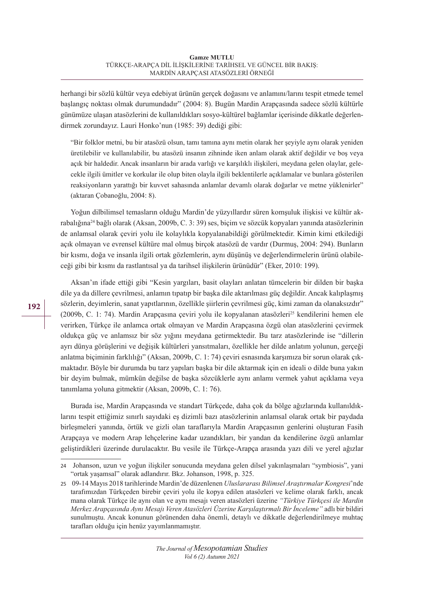herhangi bir sözlü kültür veya edebiyat ürünün gerçek doğasını ve anlamını/larını tespit etmede temel başlangıç noktası olmak durumundadır" (2004: 8). Bugün Mardin Arapçasında sadece sözlü kültürle günümüze ulaşan atasözlerini de kullanıldıkları sosyo-kültürel bağlamlar içerisinde dikkatle değerlendirmek zorundayız. Lauri Honko'nun (1985: 39) dediği gibi:

"Bir folklor metni, bu bir atasözü olsun, tamı tamına aynı metin olarak her şeyiyle aynı olarak yeniden üretilebilir ve kullanılabilir, bu atasözü insanın zihninde iken anlam olarak aktif değildir ve boş veya açık bir haldedir. Ancak insanların bir arada varlığı ve karşılıklı ilişkileri, meydana gelen olaylar, gelecekle ilgili ümitler ve korkular ile olup biten olayla ilgili beklentilerle açıklamalar ve bunlara gösterilen reaksiyonların yarattığı bir kuvvet sahasında anlamlar devamlı olarak doğarlar ve metne yüklenirler" (aktaran Çobanoğlu, 2004: 8).

Yoğun dilbilimsel temasların olduğu Mardin'de yüzyıllardır süren komşuluk ilişkisi ve kültür akrabalığına24 bağlı olarak (Aksan, 2009b, C. 3: 39) ses, biçim ve sözcük kopyaları yanında atasözlerinin de anlamsal olarak çeviri yolu ile kolaylıkla kopyalanabildiği görülmektedir. Kimin kimi etkilediği açık olmayan ve evrensel kültüre mal olmuş birçok atasözü de vardır (Durmuş, 2004: 294). Bunların bir kısmı, doğa ve insanla ilgili ortak gözlemlerin, aynı düşünüş ve değerlendirmelerin ürünü olabileceği gibi bir kısmı da rastlantısal ya da tarihsel ilişkilerin ürünüdür" (Eker, 2010: 199).

Aksan'ın ifade ettiği gibi "Kesin yargıları, basit olayları anlatan tümcelerin bir dilden bir başka dile ya da dillere çevrilmesi, anlamın tıpatıp bir başka dile aktarılması güç değildir. Ancak kalıplaşmış sözlerin, deyimlerin, sanat yapıtlarının, özellikle şiirlerin çevrilmesi güç, kimi zaman da olanaksızdır" (2009b, C. 1: 74). Mardin Arapçasına çeviri yolu ile kopyalanan atasözleri<sup>25</sup> kendilerini hemen ele verirken, Türkçe ile anlamca ortak olmayan ve Mardin Arapçasına özgü olan atasözlerini çevirmek oldukça güç ve anlamsız bir söz yığını meydana getirmektedir. Bu tarz atasözlerinde ise "dillerin ayrı dünya görüşlerini ve değişik kültürleri yansıtmaları, özellikle her dilde anlatım yolunun, gerçeği anlatma biçiminin farklılığı" (Aksan, 2009b, C. 1: 74) çeviri esnasında karşımıza bir sorun olarak çıkmaktadır. Böyle bir durumda bu tarz yapıları başka bir dile aktarmak için en ideali o dilde buna yakın bir deyim bulmak, mümkün değilse de başka sözcüklerle aynı anlamı vermek yahut açıklama veya tanımlama yoluna gitmektir (Aksan, 2009b, C. 1: 76).

Burada ise, Mardin Arapçasında ve standart Türkçede, daha çok da bölge ağızlarında kullanıldıklarını tespit ettiğimiz sınırlı sayıdaki eş dizimli bazı atasözlerinin anlamsal olarak ortak bir paydada birleşmeleri yanında, örtük ve gizli olan taraflarıyla Mardin Arapçasının genlerini oluşturan Fasih Arapçaya ve modern Arap lehçelerine kadar uzandıkları, bir yandan da kendilerine özgü anlamlar geliştirdikleri üzerinde durulacaktır. Bu vesile ile Türkçe-Arapça arasında yazı dili ve yerel ağızlar

<sup>24</sup> Johanson, uzun ve yoğun ilişkiler sonucunda meydana gelen dilsel yakınlaşmaları "symbiosis", yani "ortak yaşamsal" olarak adlandırır. Bkz. Johanson, 1998, p. 325.

<sup>25</sup> 09-14 Mayıs 2018 tarihlerinde Mardin'de düzenlenen *Uluslararası Bilimsel Araştırmalar Kongresi*'nde tarafımızdan Türkçeden birebir çeviri yolu ile kopya edilen atasözleri ve kelime olarak farklı, ancak mana olarak Türkçe ile aynı olan ve aynı mesajı veren atasözleri üzerine *"Türkiye Türkçesi ile Mardin Merkez Arapçasında Aynı Mesajı Veren Atasözleri Üzerine Karşılaştırmalı Bir İnceleme"* adlı bir bildiri sunulmuştu. Ancak konunun görünenden daha önemli, detaylı ve dikkatle değerlendirilmeye muhtaç tarafları olduğu için henüz yayımlanmamıştır.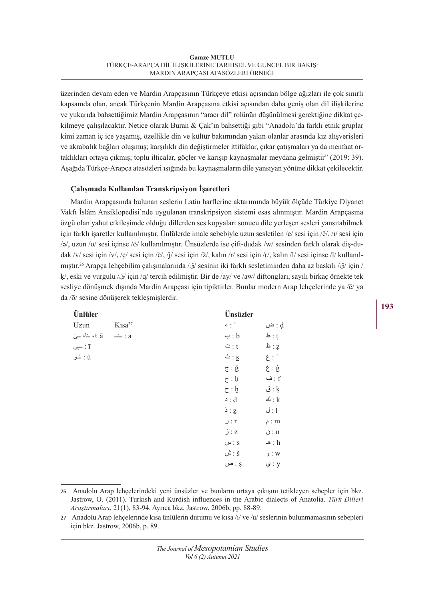üzerinden devam eden ve Mardin Arapçasının Türkçeye etkisi açısından bölge ağızları ile çok sınırlı kapsamda olan, ancak Türkçenin Mardin Arapçasına etkisi açısından daha geniş olan dil ilişkilerine ve yukarıda bahsettiğimiz Mardin Arapçasının "aracı dil" rolünün düşünülmesi gerektiğine dikkat çekilmeye çalışılacaktır. Netice olarak Buran & Çak'ın bahsettiği gibi "Anadolu'da farklı etnik gruplar kimi zaman iç içe yaşamış, özellikle din ve kültür bakımından yakın olanlar arasında kız alışverişleri ve akrabalık bağları oluşmuş; karşılıklı din değiştirmeler ittifaklar, çıkar çatışmaları ya da menfaat ortaklıkları ortaya çıkmış; toplu ilticalar, göçler ve karışıp kaynaşmalar meydana gelmiştir" (2019: 39). Aşağıda Türkçe-Arapça atasözleri ışığında bu kaynaşmaların dile yansıyan yönüne dikkat çekilecektir.

# **Çalışmada Kullanılan Transkripsiyon İşaretleri**

Mardin Arapçasında bulunan seslerin Latin harflerine aktarımında büyük ölçüde Türkiye Diyanet Vakfı İslâm Ansiklopedisi'nde uygulanan transkripsiyon sistemi esas alınmıştır. Mardin Arapçasına özgü olan yahut etkileşimde olduğu dillerden ses kopyaları sonucu dile yerleşen sesleri yansıtabilmek için farklı işaretler kullanılmıştır. Ünlülerde imale sebebiyle uzun sesletilen /e/ sesi için /ē/, /ı/ sesi için /ǝ/, uzun /o/ sesi içinse /ō/ kullanılmıştır. Ünsüzlerde ise çift-dudak /w/ sesinden farklı olarak diş-dudak /v/ sesi için /v/, /ç/ sesi için /č/, /j/ sesi için /ž/, kalın /r/ sesi için /r/, kalın /l/ sesi içinse /l/ kullanılmıştır.26 Arapça lehçebilim çalışmalarında /ق/ sesinin iki farklı sesletiminden daha az baskılı /ق/ için / ḳ/, eski ve vurgulu /ق/ için /q/ tercih edilmiştir. Bir de /ay/ ve /aw/ diftongları, sayılı birkaç örnekte tek sesliye dönüşmek dışında Mardin Arapçası için tipiktirler. Bunlar modern Arap lehçelerinde ya /ē/ ya da /ō/ sesine dönüşerek tekleşmişlerdir.

| Ünlüler                              |                                   | Ünsüzler                      |                          |
|--------------------------------------|-----------------------------------|-------------------------------|--------------------------|
| Uzun                                 | $K$ <sub>1</sub> sa <sup>27</sup> | $\epsilon$ : $\degree$        | d : ض                    |
| a: أ، خا، حيَ                        | $\dot{-}$ : a                     | $\hookrightarrow$ : b         | $\mathbf{h}$ : t         |
| $\frac{1}{\sqrt{2}}$ : $\frac{1}{1}$ |                                   | $\ddot{\circ}$ : ث            | $\pm$ : 2                |
| ü : ځو                               |                                   | $\mathbf{L} : \mathbf{S}$     | $\epsilon$ :             |
|                                      |                                   | $\tilde{g} : \tilde{g}$       | $\dot{\tilde{g}}$ : غ    |
|                                      |                                   | $\zeta$ : h                   | $\mathbf{a}$ : ف         |
|                                      |                                   | $\dot{\tau}$ : $\dot{b}$      | $: \mathbb{k}$           |
|                                      |                                   | $\circ$ : d                   | $\mathbb{E}: \mathbb{k}$ |
|                                      |                                   | $\frac{1}{2}$ : $\frac{1}{2}$ | J:1                      |
|                                      |                                   | J : r                         | m : م                    |
|                                      |                                   | j:z                           | $\dot{\cup}$ : n         |
|                                      |                                   | $\omega$ : $s$                | $\triangle$ : h          |
|                                      |                                   | $\mathring{\omega}$ : š       | W : و                    |
|                                      |                                   | $\omega$ : $\infty$           | y : ي                    |
|                                      |                                   |                               |                          |

<sup>26</sup> Anadolu Arap lehçelerindeki yeni ünsüzler ve bunların ortaya çıkışını tetikleyen sebepler için bkz. Jastrow, O. (2011). Turkish and Kurdish influences in the Arabic dialects of Anatolia. *Türk Dilleri Araştırmaları*, 21(1), 83-94. Ayrıca bkz. Jastrow, 2006b, pp. 88-89.

<sup>27</sup> Anadolu Arap lehçelerinde kısa ünlülerin durumu ve kısa /i/ ve /u/ seslerinin bulunmamasının sebepleri için bkz. Jastrow, 2006b, p. 89.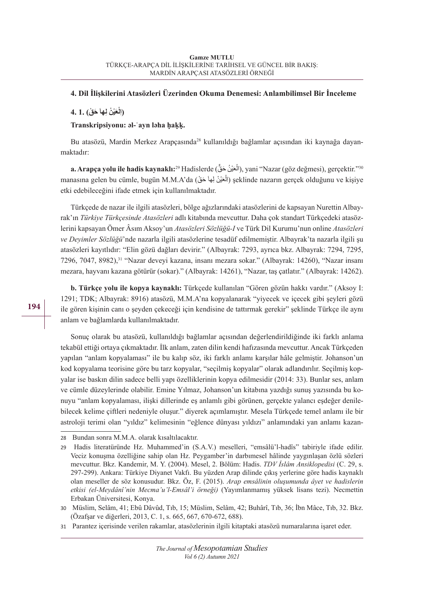# **4. Dil İlişkilerini Atasözleri Üzerinden Okuma Denemesi: Anlambilimsel Bir İnceleme**

# **َ َ ح ْق) 1. 4. َ ْي ْن ِ لها ْع (اِل**

# **Transkripsiyonu: ǝl-ʿayn lǝha ḥaḳḳ.**

Bu atasözü, Mardin Merkez Arapçasında<sup>28</sup> kullanıldığı bağlamlar açısından iki kaynağa dayanmaktadır:

**a. Arapça yolu ile hadis kaynaklı:**<sup>29</sup> Hadislerde (الْعَيْنُ حَقِّ), yani "Nazar (göz değmesi), gerçektir."<sup>30</sup> manasına gelen bu cümle, bugün M.M.A'da (أَلْعَيْنْ لِـهاْ حَقْ) şeklinde nazarın gerçek olduğunu ve kişiye etki edebileceğini ifade etmek için kullanılmaktadır.

Türkçede de nazar ile ilgili atasözleri, bölge ağızlarındaki atasözlerini de kapsayan Nurettin Albayrak'ın *Türkiye Türkçesinde Atasözleri* adlı kitabında mevcuttur. Daha çok standart Türkçedeki atasözlerini kapsayan Ömer Âsım Aksoy'un *Atasözleri Sözlüğü-I* ve Türk Dil Kurumu'nun online *Atasözleri ve Deyimler Sözlüğü*'nde nazarla ilgili atasözlerine tesadüf edilmemiştir. Albayrak'ta nazarla ilgili şu atasözleri kayıtlıdır: "Elin gözü dağları devirir." (Albayrak: 7293, ayrıca bkz. Albayrak: 7294, 7295, 7296, 7047, 8982),<sup>31</sup> "Nazar deveyi kazana, insanı mezara sokar." (Albayrak: 14260), "Nazar insanı mezara, hayvanı kazana götürür (sokar)." (Albayrak: 14261), "Nazar, taş çatlatır." (Albayrak: 14262).

**b. Türkçe yolu ile kopya kaynaklı:** Türkçede kullanılan "Gören gözün hakkı vardır." (Aksoy I: 1291; TDK; Albayrak: 8916) atasözü, M.M.A'na kopyalanarak "yiyecek ve içecek gibi şeyleri gözü ile gören kişinin canı o şeyden çekeceği için kendisine de tattırmak gerekir" şeklinde Türkçe ile aynı anlam ve bağlamlarda kullanılmaktadır.

Sonuç olarak bu atasözü, kullanıldığı bağlamlar açısından değerlendirildiğinde iki farklı anlama tekabül ettiği ortaya çıkmaktadır. İlk anlam, zaten dilin kendi hafızasında mevcuttur. Ancak Türkçeden yapılan "anlam kopyalaması" ile bu kalıp söz, iki farklı anlamı karşılar hâle gelmiştir. Johanson'un kod kopyalama teorisine göre bu tarz kopyalar, "seçilmiş kopyalar" olarak adlandırılır. Seçilmiş kopyalar ise baskın dilin sadece belli yapı özelliklerinin kopya edilmesidir (2014: 33). Bunlar ses, anlam ve cümle düzeylerinde olabilir. Emine Yılmaz, Johanson'un kitabına yazdığı sunuş yazısında bu konuyu "anlam kopyalaması, ilişki dillerinde eş anlamlı gibi görünen, gerçekte yalancı eşdeğer denilebilecek kelime çiftleri nedeniyle oluşur." diyerek açımlamıştır. Mesela Türkçede temel anlamı ile bir astroloji terimi olan "yıldız" kelimesinin "eğlence dünyası yıldızı" anlamındaki yan anlamı kazan-

<sup>28</sup> Bundan sonra M.M.A. olarak kısaltılacaktır.

<sup>29</sup> Hadis literatüründe Hz. Muhammed'in (S.A.V.) meselleri, "emsâlü'l-hadîs" tabiriyle ifade edilir. Veciz konuşma özelliğine sahip olan Hz. Peygamber'in darbımesel hâlinde yaygınlaşan özlü sözleri mevcuttur. Bkz. Kandemir, M. Y. (2004). Mesel, 2. Bölüm: Hadis. *TDV İslâm Ansiklopedisi* (C. 29, s. 297-299). Ankara: Türkiye Diyanet Vakfı. Bu yüzden Arap dilinde çıkış yerlerine göre hadis kaynaklı olan meseller de söz konusudur. Bkz. Öz, F. (2015). *Arap emsâlinin oluşumunda âyet ve hadislerin etkisi (el-Meydânî'nin Mecma'u'l-Emsâl'i örneği)* (Yayımlanmamış yüksek lisans tezi). Necmettin Erbakan Üniversitesi, Konya.

<sup>30</sup> Müslim, Selâm, 41; Ebû Dâvûd, Tıb, 15; Müslim, Selâm, 42; Buhârî, Tıb, 36; İbn Mâce, Tıb, 32. Bkz. (Özafşar ve diğerleri, 2013, C. 1, s. 665, 667, 670-672, 688).

<sup>31</sup> Parantez içerisinde verilen rakamlar, atasözlerinin ilgili kitaptaki atasözü numaralarına işaret eder.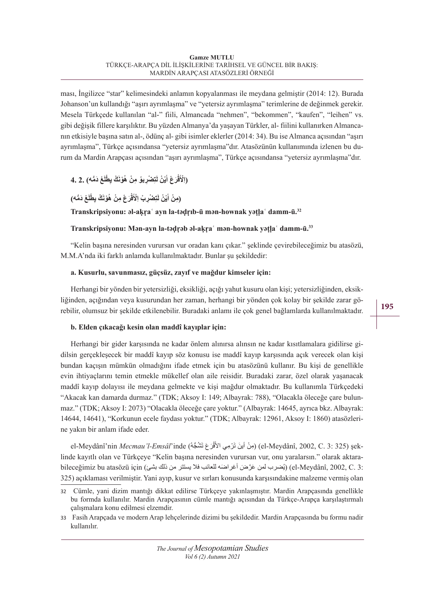ması, İngilizce "star" kelimesindeki anlamın kopyalanması ile meydana gelmiştir (2014: 12). Burada Johanson'un kullandığı "aşırı ayrımlaşma" ve "yetersiz ayrımlaşma" terimlerine de değinmek gerekir. Mesela Türkçede kullanılan "al-" fiili, Almancada "nehmen", "bekommen", "kaufen", "leihen" vs. gibi değişik fillere karşılıktır. Bu yüzden Almanya'da yaşayan Türkler, al- fiilini kullanırken Almancanın etkisiyle başına satın al-, ödünç al- gibi isimler eklerler (2014: 34). Bu ise Almanca açısından "aşırı ayrımlaşma", Türkçe açısındansa "yetersiz ayrımlaşma"dır. Atasözünün kullanımında izlenen bu durum da Mardin Arapçası açısından "aşırı ayrımlaşma", Türkçe açısındansa "yetersiz ayrımlaşma"dır.

#### (اِلْأَقْرَعْ أَيْنْ لَتِصْرِبِوُ مِنْ هُوْنَكْ يِطْلَعْ دَمُّه) .2 .4 **ْ**

(مِنْ أَيْنْ لَتِصْرِبْ اِلْأَقْرَعْ مِنْ هُوْنَكْ يِطْلَعْ دَمُّه) **ْ**

# **Transkripsiyonu: ǝl-aḳṛaʿ ayn la-tǝḍṛıb-ū mǝn-hownak yǝṭḷaʿ damm-ū.<sup>32</sup>**

# **Transkripsiyonu: Mǝn-ayn la-tǝḍṛǝb ǝl-aḳṛaʿ mǝn-hownak yǝṭḷaʿ damm-ū.<sup>33</sup>**

"Kelin başına neresinden vurursan vur oradan kanı çıkar." şeklinde çevirebileceğimiz bu atasözü, M.M.A'nda iki farklı anlamda kullanılmaktadır. Bunlar şu şekildedir:

# **a. Kusurlu, savunmasız, güçsüz, zayıf ve mağdur kimseler için:**

Herhangi bir yönden bir yetersizliği, eksikliği, açığı yahut kusuru olan kişi; yetersizliğinden, eksikliğinden, açığından veya kusurundan her zaman, herhangi bir yönden çok kolay bir şekilde zarar görebilir, olumsuz bir şekilde etkilenebilir. Buradaki anlamı ile çok genel bağlamlarda kullanılmaktadır.

# **b. Elden çıkacağı kesin olan maddî kayıplar için:**

Herhangi bir gider karşısında ne kadar önlem alınırsa alınsın ne kadar kısıtlamalara gidilirse gidilsin gerçekleşecek bir maddî kayıp söz konusu ise maddî kayıp karşısında açık verecek olan kişi bundan kaçışın mümkün olmadığını ifade etmek için bu atasözünü kullanır. Bu kişi de genellikle evin ihtiyaçlarını temin etmekle mükellef olan aile reisidir. Buradaki zarar, özel olarak yaşanacak maddî kayıp dolayısı ile meydana gelmekte ve kişi mağdur olmaktadır. Bu kullanımla Türkçedeki "Akacak kan damarda durmaz." (TDK; Aksoy I: 149; Albayrak: 788), "Olacakla öleceğe çare bulunmaz." (TDK; Aksoy I: 2073) "Olacakla öleceğe çare yoktur." (Albayrak: 14645, ayrıca bkz. Albayrak: 14644, 14641), "Korkunun ecele faydası yoktur." (TDK; Albayrak: 12961, Aksoy I: 1860) atasözlerine yakın bir anlam ifade eder.

el-Meydânî'nin *Mecmau'l-Emsâl*'inde (مِنْ أينَ تَرْمِي الأقْرَعَ تَشُجُّهُ) (el-Meydânî, 2002, C. 3: 325) şeklinde kayıtlı olan ve Türkçeye "Kelin başına neresinden vurursan vur, onu yaralarsın." olarak aktarabileceğimiz bu atasözü için (بُضرب لمن عَرَّضَ أغراضَه للعائب فلا يستتر من ذلك بشئ) (el-Meydânî, 2002, C. 3: 325) açıklaması verilmiştir. Yani ayıp, kusur ve sırları konusunda karşısındakine malzeme vermiş olan

<sup>32</sup> Cümle, yani dizim mantığı dikkat edilirse Türkçeye yakınlaşmıştır. Mardin Arapçasında genellikle bu formda kullanılır. Mardin Arapçasının cümle mantığı açısından da Türkçe-Arapça karşılaştırmalı çalışmalara konu edilmesi elzemdir.

<sup>33</sup> Fasih Arapçada ve modern Arap lehçelerinde dizimi bu şekildedir. Mardin Arapçasında bu formu nadir kullanılır.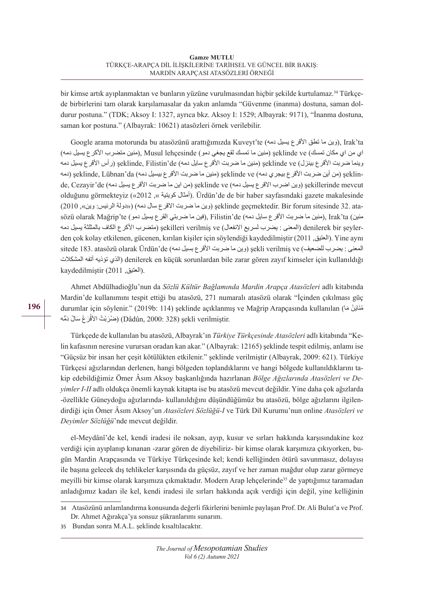bir kimse artık ayıplanmaktan ve bunların yüzüne vurulmasından hiçbir şekilde kurtulamaz.<sup>34</sup> Türkçede birbirlerini tam olarak karşılamasalar da yakın anlamda "Güvenme (inanma) dostuna, saman doldurur postuna." (TDK; Aksoy I: 1327, ayrıca bkz. Aksoy I: 1529; Albayrak: 9171), "İnanma dostuna, saman kor postuna." (Albayrak: 10621) atasözleri örnek verilebilir.

Google arama motorunda bu atasözünü arattığımızda Kuveyt'te (دين ما تطق الأقرع يسيل دمه), Irak'ta اي من اي مكان تمسك) ve şeklinde) منين ما تمسك لقع يجغي دمو) lehçesinde Musul ,)منين متضرب األكرع يسيل دمه) وينما ضربت الأقرع بينزل) seklinde ve (منين ما ضربت الأقرع سايل دمه) seklinde, Filistin'de (رأس الأقرع يسيل دمه de, Cezavir'de (وين اضرب الاقرع يسيل دمه) seklinde ve (من اين ما ضربت الأقرع يسيل دمه) de, Cezavir'de şeklin) (من أين ضربت الأقر ع بيجري دمه) seklinde ve (منين ما ضربت الأقر ع بيسيل دمه) seklinde, Lübnan'da (دمه olduğunu görmekteyiz («2012 ,» كويتية أمثال(. Ürdün'de de bir haber sayfasındaki gazete makalesinde sözü olarak Mağrip'te (منين ما ضربت الأقرع سايل دمه), Filistin'de (فين ما ضربتي القرع يسيل دمو), Irak'ta (منين ما ضربت ata 32. sitesinde forum Bir .geçmektedir şeklinde) وين ما ضربت االقرع سال دمه( )»دولة الرئيس: وين«, 2010) دمه يسيل بالمثلثة الكاف األكرع متضرب (şekilleri verilmiş ve (االنفعال لسريع يضرب : المعنى (denilerek bir şeylerden çok kolay etkilenen, gücenen, kırılan kişiler için söylendiği kaydedilmiştir (2011 ,العتيق(. Yine aynı المعنى : يضرب للضعيف) ve verilmiş şekli) وين ما ضربت األقرع بسيل دمه) de'Ürdün olarak atasözü 183. sitede المشكالت أتفه تؤذيه الذي (denilerek en küçük sorunlardan bile zarar gören zayıf kimseler için kullanıldığı .(العتيق, 2011) kaydedilmiştir

Ahmet Abdülhadioğlu'nun da *Sözlü Kültür Bağlamında Mardin Arapça Atasözleri* adlı kitabında Mardin'de kullanımını tespit ettiği bu atasözü, 271 numaralı atasözü olarak "İçinden çıkılması güç durumlar için söylenir." (2019b: 114) şeklinde açıklanmış ve Mağrip Arapçasında kullanılan (مُنَايَنْ مَا ضْرَبْتْ الأَقْرَعْ سَالْ دَمُّه (Dâdûn, 2000: 328) șekli verilmiștir. **ٔ** 

Türkçede de kullanılan bu atasözü, Albayrak'ın *Türkiye Türkçesinde Atasözleri* adlı kitabında "Kelin kafasının neresine vurursan oradan kan akar." (Albayrak: 12165) şeklinde tespit edilmiş, anlamı ise "Güçsüz bir insan her çeşit kötülükten etkilenir." şeklinde verilmiştir (Albayrak, 2009: 621). Türkiye Türkçesi ağızlarından derlenen, hangi bölgeden toplandıklarını ve hangi bölgede kullanıldıklarını takip edebildiğimiz Ömer Âsım Aksoy başkanlığında hazırlanan *Bölge Ağızlarında Atasözleri ve Deyimler I-II* adlı oldukça önemli kaynak kitapta ise bu atasözü mevcut değildir. Yine daha çok ağızlarda -özellikle Güneydoğu ağızlarında- kullanıldığını düşündüğümüz bu atasözü, bölge ağızlarını ilgilendirdiği için Ömer Âsım Aksoy'un *Atasözleri Sözlüğü-I* ve Türk Dil Kurumu'nun online *Atasözleri ve Deyimler Sözlüğü*'nde mevcut değildir.

el-Meydânî'de kel, kendi iradesi ile noksan, ayıp, kusur ve sırları hakkında karşısındakine koz verdiği için ayıplanıp kınanan -zarar gören de diyebiliriz- bir kimse olarak karşımıza çıkıyorken, bugün Mardin Arapçasında ve Türkiye Türkçesinde kel; kendi kelliğinden ötürü savunmasız, dolayısı ile başına gelecek dış tehlikeler karşısında da güçsüz, zayıf ve her zaman mağdur olup zarar görmeye meyilli bir kimse olarak karşımıza çıkmaktadır. Modern Arap lehçelerinde<sup>35</sup> de yaptığımız taramadan anladığımız kadarı ile kel, kendi iradesi ile sırları hakkında açık verdiği için değil, yine kelliğinin

<sup>34</sup> Atasözünü anlamlandırma konusunda değerli fikirlerini benimle paylaşan Prof. Dr. Ali Bulut'a ve Prof. Dr. Ahmet Ağırakça'ya sonsuz şükranlarımı sunarım.

<sup>35</sup> Bundan sonra M.A.L. şeklinde kısaltılacaktır.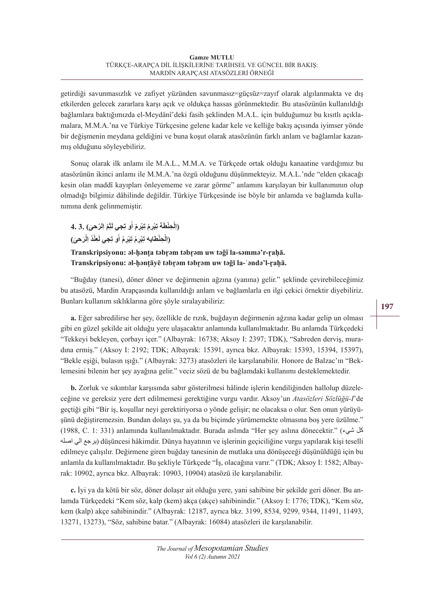getirdiği savunmasızlık ve zafiyet yüzünden savunmasız=güçsüz=zayıf olarak algılanmakta ve dış etkilerden gelecek zararlara karşı açık ve oldukça hassas görünmektedir. Bu atasözünün kullanıldığı bağlamlara baktığımızda el-Meydânî'deki fasih şeklinden M.A.L. için bulduğumuz bu kısıtlı açıklamalara, M.M.A.'na ve Türkiye Türkçesine gelene kadar kele ve kelliğe bakış açısında iyimser yönde bir değişmenin meydana geldiğini ve buna koşut olarak atasözünün farklı anlam ve bağlamlar kazanmış olduğunu söyleyebiliriz.

Sonuç olarak ilk anlamı ile M.A.L., M.M.A. ve Türkçede ortak olduğu kanaatine vardığımız bu atasözünün ikinci anlamı ile M.M.A.'na özgü olduğunu düşünmekteyiz. M.A.L.'nde "elden çıkacağı kesin olan maddî kayıpları önleyememe ve zarar görme" anlamını karşılayan bir kullanımının olup olmadığı bilgimiz dâhilinde değildir. Türkiye Türkçesinde ise böyle bir anlamda ve bağlamda kullanımına denk gelinmemiştir.

**ِ ْم اِ ّلر َحى) 3. 4. َث ِ ل ِجي ِ ْبِر ْم أُو ت ِ ْبِر ْم ت ْ ِحْن َطة ت (اِل َْر َحى) َ ِعْن ْد اِل ِ ل ِجي ِ ْبِر ْم أُو ت ِ ْبِر ْم ت ْ ِحْنطايه ت (اِل**

# **Transkripsiyonu: ǝl-ḥǝnṭa tǝbṛǝm tǝbṛǝm uw tǝǧī la-sǝmmǝ'r-ṛaḥā. Transkripsiyonu: ǝl-ḥǝnṭāyē tǝbṛǝm tǝbṛǝm uw tǝǧī la-ʿǝndǝ'l-ṛaḥā.**

"Buğday (tanesi), döner döner ve değirmenin ağzına (yanına) gelir." şeklinde çevirebileceğimiz bu atasözü, Mardin Arapçasında kullanıldığı anlam ve bağlamlarla en ilgi çekici örnektir diyebiliriz. Bunları kullanım sıklıklarına göre şöyle sıralayabiliriz:

**a.** Eğer sabredilirse her şey, özellikle de rızık, buğdayın değirmenin ağzına kadar gelip un olması gibi en güzel şekilde ait olduğu yere ulaşacaktır anlamında kullanılmaktadır. Bu anlamda Türkçedeki "Tekkeyi bekleyen, çorbayı içer." (Albayrak: 16738; Aksoy I: 2397; TDK), "Sabreden derviş, muradına ermiş." (Aksoy I: 2192; TDK; Albayrak: 15391, ayrıca bkz. Albayrak: 15393, 15394, 15397), "Bekle eşiği, bulasın ışığı." (Albayrak: 3273) atasözleri ile karşılanabilir. Honore de Balzac'ın "Beklemesini bilenin her şey ayağına gelir." veciz sözü de bu bağlamdaki kullanımı desteklemektedir.

**b.** Zorluk ve sıkıntılar karşısında sabır gösterilmesi hâlinde işlerin kendiliğinden hallolup düzeleceğine ve gereksiz yere dert edilmemesi gerektiğine vurgu vardır. Aksoy'un *Atasözleri Sözlüğü-I*'de geçtiği gibi "Bir iş, koşullar neyi gerektiriyorsa o yönde gelişir; ne olacaksa o olur. Sen onun yürüyüşünü değiştiremezsin. Bundan dolayı şu, ya da bu biçimde yürümemekte olmasına boş yere üzülme." (1988, C. 1: 331) anlamında kullanılmaktadır. Burada aslında "Her şey aslına dönecektir." (شيء كل اصله الي يرجع (düşüncesi hâkimdir. Dünya hayatının ve işlerinin geçiciliğine vurgu yapılarak kişi teselli edilmeye çalışılır. Değirmene giren buğday tanesinin de mutlaka una dönüşeceği düşünüldüğü için bu anlamla da kullanılmaktadır. Bu şekliyle Türkçede "İş, olacağına varır." (TDK; Aksoy I: 1582; Albayrak: 10902, ayrıca bkz. Albayrak: 10903, 10904) atasözü ile karşılanabilir.

**c.** İyi ya da kötü bir söz, döner dolaşır ait olduğu yere, yani sahibine bir şekilde geri döner. Bu anlamda Türkçedeki "Kem söz, kalp (kem) akça (akçe) sahibinindir." (Aksoy I: 1776; TDK), "Kem söz, kem (kalp) akçe sahibinindir." (Albayrak: 12187, ayrıca bkz. 3199, 8534, 9299, 9344, 11491, 11493, 13271, 13273), "Söz, sahibine batar." (Albayrak: 16084) atasözleri ile karşılanabilir.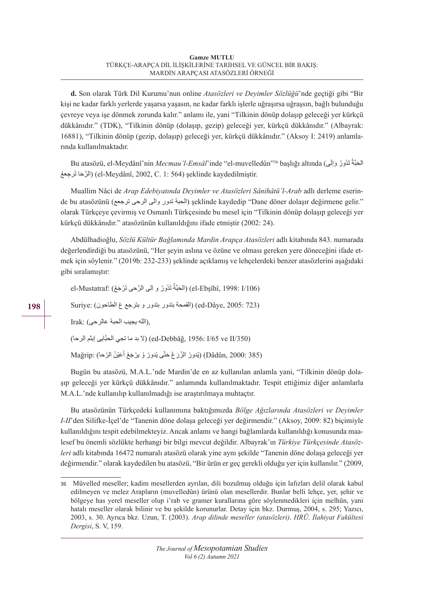**d.** Son olarak Türk Dil Kurumu'nun online *Atasözleri ve Deyimler Sözlüğü*'nde geçtiği gibi "Bir kişi ne kadar farklı yerlerde yaşarsa yaşasın, ne kadar farklı işlerle uğraşırsa uğraşsın, bağlı bulunduğu çevreye veya işe dönmek zorunda kalır." anlamı ile, yani "Tilkinin dönüp dolaşıp geleceği yer kürkçü dükkânıdır." (TDK), "Tilkinin dönüp (dolaşıp, gezip) geleceği yer, kürkçü dükkânıdır." (Albayrak: 16881), "Tilkinin dönüp (gezip, dolaşıp) geleceği yer, kürkçü dükkânıdır." (Aksoy I: 2419) anlamlarında kullanılmaktadır.

Bu atasözü, el-Meydânî'nin *Mecmau'l-Emsâl*'inde ''el-muvelledûn''<sup>36</sup> başlığı altında (الْحَبَّةُ تَدُّورُ وَإِلَى الرَّحَا تَرجعهُ) (el-Meydânî, 2002, C. 1: 564) şeklinde kaydedilmiştir.

Muallim Nâci de *Arap Edebiyatında Deyimler ve Atasözleri Sânihâtü'l-Arab* adlı derleme eserinde bu atasözünü (ترجع الحبة تدور والى الرحى ترجعع) seklinde kaydedip "Dane döner dolaşır değirmene gelir." olarak Türkçeye çevirmiş ve Osmanlı Türkçesinde bu mesel için "Tilkinin dönüp dolaşıp geleceği yer kürkçü dükkânıdır." atasözünün kullanıldığını ifade etmiştir (2002: 24).

Abdülhadioğlu, *Sözlü Kültür Bağlamında Mardin Arapça Atasözleri* adlı kitabında 843. numarada değerlendirdiği bu atasözünü, "Her şeyin aslına ve özüne ve olması gereken yere döneceğini ifade etmek için söylenir." (2019b: 232-233) şeklinde açıklamış ve lehçelerdeki benzer atasözlerini aşağıdaki gibi sıralamıştır:

el-Mustatraf: (الْحَبَّةُ تَدُورُ و اِلَى الرَّحى تَرْجَعُ) (el-Ebşîhî, 1998: I/106

(2005: 723 ed-Dâye, القمحة بتدور بتدور و بترجع ع الطاحون) :Suriye

,(الله يجيب الحبة عالرحى) :Irak

(/350) (ed-Debbâğ, 1956: I/65 ve II) (لا بد ما تجي الحبّايي إبثم الرحا)

ْ(Dâdûn, 2000: 385) (يُدورُ الزُرَعْ حَتَّى يْدورْ وْ يرْجَعْ أَعَيْنْ الرْحا) :Mağrip

Bugün bu atasözü, M.A.L.'nde Mardin'de en az kullanılan anlamla yani, "Tilkinin dönüp dolaşıp geleceği yer kürkçü dükkânıdır." anlamında kullanılmaktadır. Tespit ettiğimiz diğer anlamlarla M.A.L.'nde kullanılıp kullanılmadığı ise araştırılmaya muhtaçtır.

Bu atasözünün Türkçedeki kullanımına baktığımızda *Bölge Ağızlarında Atasözleri ve Deyimler I-II*'den Silifke-İçel'de "Tanenin döne dolaşa geleceği yer değirmendir." (Aksoy, 2009: 82) biçimiyle kullanıldığını tespit edebilmekteyiz. Ancak anlamı ve hangi bağlamlarda kullanıldığı konusunda maalesef bu önemli sözlükte herhangi bir bilgi mevcut değildir. Albayrak'ın *Türkiye Türkçesinde Atasözleri* adlı kitabında 16472 numaralı atasözü olarak yine aynı şekilde "Tanenin döne dolaşa geleceği yer değirmendir." olarak kaydedilen bu atasözü, "Bir ürün er geç gerekli olduğu yer için kullanılır." (2009,

<sup>36</sup> Müvelled meseller; kadim mesellerden ayrılan, dili bozulmuş olduğu için lafızları delil olarak kabul edilmeyen ve melez Arapların (muvelledûn) ürünü olan mesellerdir. Bunlar belli lehçe, yer, şehir ve bölgeye has yerel meseller olup i'rab ve gramer kurallarına göre söylenmedikleri için melhûn, yani hatalı meseller olarak bilinir ve bu şekilde korunurlar. Detay için bkz. Durmuş, 2004, s. 295; Yazıcı, 2003, s. 30. Ayrıca bkz. Uzun, T. (2003). *Arap dilinde meseller (atasözleri)*. *HRÜ. İlahiyat Fakültesi Dergisi*, S. V, 159.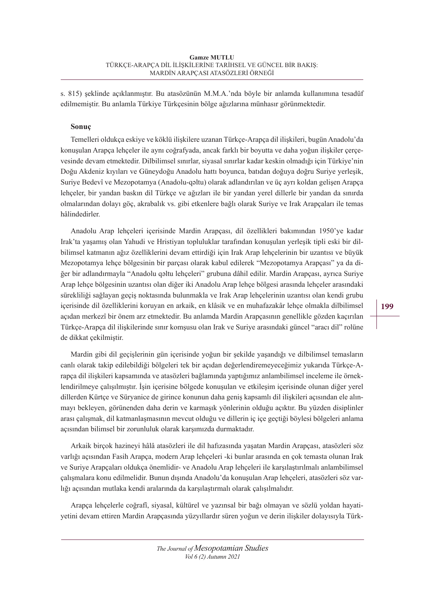s. 815) şeklinde açıklanmıştır. Bu atasözünün M.M.A.'nda böyle bir anlamda kullanımına tesadüf edilmemiştir. Bu anlamla Türkiye Türkçesinin bölge ağızlarına münhasır görünmektedir.

# **Sonuç**

Temelleri oldukça eskiye ve köklü ilişkilere uzanan Türkçe-Arapça dil ilişkileri, bugün Anadolu'da konuşulan Arapça lehçeler ile aynı coğrafyada, ancak farklı bir boyutta ve daha yoğun ilişkiler çerçevesinde devam etmektedir. Dilbilimsel sınırlar, siyasal sınırlar kadar keskin olmadığı için Türkiye'nin Doğu Akdeniz kıyıları ve Güneydoğu Anadolu hattı boyunca, batıdan doğuya doğru Suriye yerleşik, Suriye Bedevî ve Mezopotamya (Anadolu-qǝltu) olarak adlandırılan ve üç ayrı koldan gelişen Arapça lehçeler, bir yandan baskın dil Türkçe ve ağızları ile bir yandan yerel dillerle bir yandan da sınırda olmalarından dolayı göç, akrabalık vs. gibi etkenlere bağlı olarak Suriye ve Irak Arapçaları ile temas hâlindedirler.

Anadolu Arap lehçeleri içerisinde Mardin Arapçası, dil özellikleri bakımından 1950'ye kadar Irak'ta yaşamış olan Yahudi ve Hristiyan topluluklar tarafından konuşulan yerleşik tipli eski bir dilbilimsel katmanın ağız özelliklerini devam ettirdiği için Irak Arap lehçelerinin bir uzantısı ve büyük Mezopotamya lehçe bölgesinin bir parçası olarak kabul edilerek "Mezopotamya Arapçası" ya da diğer bir adlandırmayla "Anadolu qəltu lehçeleri" grubuna dâhil edilir. Mardin Arapçası, ayrıca Suriye Arap lehçe bölgesinin uzantısı olan diğer iki Anadolu Arap lehçe bölgesi arasında lehçeler arasındaki sürekliliği sağlayan geçiş noktasında bulunmakla ve Irak Arap lehçelerinin uzantısı olan kendi grubu içerisinde dil özelliklerini koruyan en arkaik, en klâsik ve en muhafazakâr lehçe olmakla dilbilimsel açıdan merkezî bir önem arz etmektedir. Bu anlamda Mardin Arapçasının genellikle gözden kaçırılan Türkçe-Arapça dil ilişkilerinde sınır komşusu olan Irak ve Suriye arasındaki güncel "aracı dil" rolüne de dikkat çekilmiştir.

Mardin gibi dil geçişlerinin gün içerisinde yoğun bir şekilde yaşandığı ve dilbilimsel temasların canlı olarak takip edilebildiği bölgeleri tek bir açıdan değerlendiremeyeceğimiz yukarıda Türkçe-Arapça dil ilişkileri kapsamında ve atasözleri bağlamında yaptığımız anlambilimsel inceleme ile örneklendirilmeye çalışılmıştır. İşin içerisine bölgede konuşulan ve etkileşim içerisinde olunan diğer yerel dillerden Kürtçe ve Süryanice de girince konunun daha geniş kapsamlı dil ilişkileri açısından ele alınmayı bekleyen, görünenden daha derin ve karmaşık yönlerinin olduğu açıktır. Bu yüzden disiplinler arası çalışmak, dil katmanlaşmasının mevcut olduğu ve dillerin iç içe geçtiği böylesi bölgeleri anlama açısından bilimsel bir zorunluluk olarak karşımızda durmaktadır.

Arkaik birçok hazineyi hâlâ atasözleri ile dil hafızasında yaşatan Mardin Arapçası, atasözleri söz varlığı açısından Fasih Arapça, modern Arap lehçeleri -ki bunlar arasında en çok temasta olunan Irak ve Suriye Arapçaları oldukça önemlidir- ve Anadolu Arap lehçeleri ile karşılaştırılmalı anlambilimsel çalışmalara konu edilmelidir. Bunun dışında Anadolu'da konuşulan Arap lehçeleri, atasözleri söz varlığı açısından mutlaka kendi aralarında da karşılaştırmalı olarak çalışılmalıdır.

Arapça lehçelerle coğrafî, siyasal, kültürel ve yazınsal bir bağı olmayan ve sözlü yoldan hayatiyetini devam ettiren Mardin Arapçasında yüzyıllardır süren yoğun ve derin ilişkiler dolayısıyla Türk-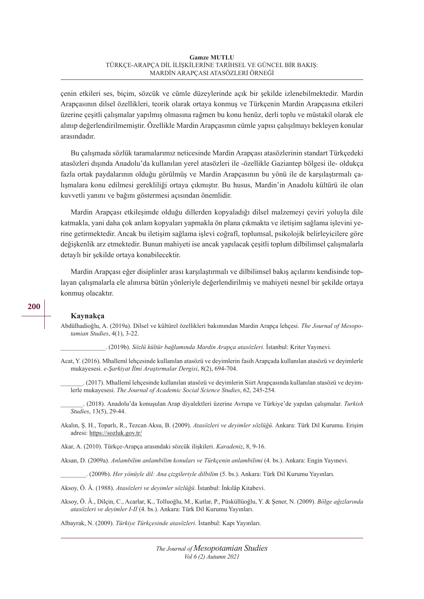çenin etkileri ses, biçim, sözcük ve cümle düzeylerinde açık bir şekilde izlenebilmektedir. Mardin Arapçasının dilsel özellikleri, teorik olarak ortaya konmuş ve Türkçenin Mardin Arapçasına etkileri üzerine çeşitli çalışmalar yapılmış olmasına rağmen bu konu henüz, derli toplu ve müstakil olarak ele alınıp değerlendirilmemiştir. Özellikle Mardin Arapçasının cümle yapısı çalışılmayı bekleyen konular arasındadır.

Bu çalışmada sözlük taramalarımız neticesinde Mardin Arapçası atasözlerinin standart Türkçedeki atasözleri dışında Anadolu'da kullanılan yerel atasözleri ile -özellikle Gaziantep bölgesi ile- oldukça fazla ortak paydalarının olduğu görülmüş ve Mardin Arapçasının bu yönü ile de karşılaştırmalı çalışmalara konu edilmesi gerekliliği ortaya çıkmıştır. Bu husus, Mardin'in Anadolu kültürü ile olan kuvvetli yanını ve bağını göstermesi açısından önemlidir.

Mardin Arapçası etkileşimde olduğu dillerden kopyaladığı dilsel malzemeyi çeviri yoluyla dile katmakla, yani daha çok anlam kopyaları yapmakla ön plana çıkmakta ve iletişim sağlama işlevini yerine getirmektedir. Ancak bu iletişim sağlama işlevi coğrafî, toplumsal, psikolojik belirleyicilere göre değişkenlik arz etmektedir. Bunun mahiyeti ise ancak yapılacak çeşitli toplum dilbilimsel çalışmalarla detaylı bir şekilde ortaya konabilecektir.

Mardin Arapçası eğer disiplinler arası karşılaştırmalı ve dilbilimsel bakış açılarını kendisinde toplayan çalışmalarla ele alınırsa bütün yönleriyle değerlendirilmiş ve mahiyeti nesnel bir şekilde ortaya konmuş olacaktır.

#### **Kaynakça**

Abdülhadioğlu, A. (2019a). Dilsel ve kültürel özellikleri bakımından Mardin Arapça lehçesi. *The Journal of Mesopotamian Studies*, 4(1), 3-22.

\_\_\_\_\_\_\_\_\_\_\_\_\_\_. (2019b). *Sözlü kültür bağlamında Mardin Arapça atasözleri*. İstanbul: Kriter Yayınevi.

- Acat, Y. (2016). Mhallemî lehçesinde kullanılan atasözü ve deyimlerin fasih Arapçada kullanılan atasözü ve deyimlerle mukayesesi. *e-Şarkiyat İlmi Araştırmalar Dergisi*, 8(2), 694-704.
	- \_\_\_\_\_\_\_. (2017). Mhallemî lehçesinde kullanılan atasözü ve deyimlerin Siirt Arapçasında kullanılan atasözü ve deyimlerle mukayesesi. *The Journal of Academic Social Science Studies*, 62, 245-254.

\_\_\_\_\_\_\_. (2018). Anadolu'da konuşulan Arap diyalektleri üzerine Avrupa ve Türkiye'de yapılan çalışmalar. *Turkish Studies*, 13(5), 29-44.

Akalın, Ş. H., Toparlı, R., Tezcan Aksu, B. (2009). *Atasözleri ve deyimler sözlüğü*. Ankara: Türk Dil Kurumu. Erişim adresi: https://sozluk.gov.tr/

Akar, A. (2010). Türkçe-Arapça arasındaki sözcük ilişkileri. *Karadeniz*, 8, 9-16.

Aksan, D. (2009a). *Anlambilim anlambilim konuları ve Türkçenin anlambilimi* (4. bs.). Ankara: Engin Yayınevi.

\_\_\_\_\_\_\_\_. (2009b). *Her yönüyle dil: Ana çizgileriyle dilbilim* (5. bs.). Ankara: Türk Dil Kurumu Yayınları.

Aksoy, Ö. Â. (1988). *Atasözleri ve deyimler sözlüğü*. İstanbul: İnkılâp Kitabevi.

Aksoy, Ö. Â., Dilçin, C., Acarlar, K., Tolluoğlu, M., Kutlar, P., Püsküllüoğlu, Y. & Şener, N. (2009). *Bölge ağızlarında atasözleri ve deyimler I-II* (4. bs.). Ankara: Türk Dil Kurumu Yayınları.

Albayrak, N. (2009). *Türkiye Türkçesinde atasözleri*. İstanbul: Kapı Yayınları.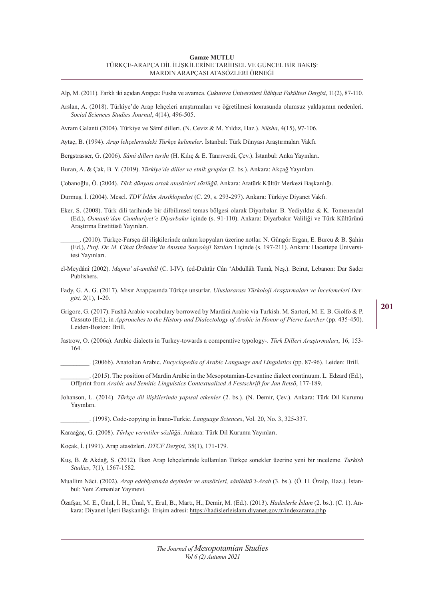Alp, M. (2011). Farklı iki açıdan Arapça: Fusha ve avamca. *Çukurova Üniversitesi İlâhiyat Fakültesi Dergisi*, 11(2), 87-110.

Arslan, A. (2018). Türkiye'de Arap lehçeleri araştırmaları ve öğretilmesi konusunda olumsuz yaklaşımın nedenleri. *Social Sciences Studies Journal*, 4(14), 496-505.

Avram Galanti (2004). Türkiye ve Sâmî dilleri. (N. Ceviz & M. Yıldız, Haz.). *Nüsha*, 4(15), 97-106.

Aytaç, B. (1994). *Arap lehçelerindeki Türkçe kelimeler*. İstanbul: Türk Dünyası Araştırmaları Vakfı.

Bergstrasser, G. (2006). *Sâmî dilleri tarihi* (H. Kılıç & E. Tanrıverdi, Çev.). İstanbul: Anka Yayınları.

Buran, A. & Çak, B. Y. (2019). *Türkiye'de diller ve etnik gruplar* (2. bs.). Ankara: Akçağ Yayınları.

Çobanoğlu, Ö. (2004). *Türk dünyası ortak atasözleri sözlüğü*. Ankara: Atatürk Kültür Merkezi Başkanlığı.

Durmuş, İ. (2004). Mesel. *TDV İslâm Ansiklopedisi* (C. 29, s. 293-297). Ankara: Türkiye Diyanet Vakfı.

Eker, S. (2008). Türk dili tarihinde bir dilbilimsel temas bölgesi olarak Diyarbakır. B. Yediyıldız & K. Tomenendal (Ed.), *Osmanlı'dan Cumhuriyet'e Diyarbakır* içinde (s. 91-110). Ankara: Diyarbakır Valiliği ve Türk Kültürünü Araştırma Enstitüsü Yayınları.

\_\_\_\_\_\_. (2010). Türkçe-Farsça dil ilişkilerinde anlam kopyaları üzerine notlar. N. Güngör Ergan, E. Burcu & B. Şahin (Ed.), *Prof. Dr. M. Cihat Özönder'in Anısına Sosyoloji Yazıları* I içinde (s. 197-211). Ankara: Hacettepe Üniversitesi Yayınları.

- el-Meydânî (2002). *Majma' al-amthâl* (C. I-IV). (ed-Duktûr Cân 'Abdullâh Tumâ, Neş.). Beirut, Lebanon: Dar Sader Publishers.
- Fady, G. A. G. (2017). Mısır Arapçasında Türkçe unsurlar. *Uluslararası Türkoloji Araştırmaları ve İncelemeleri Dergisi,* 2(1), 1-20.
- Grigore, G. (2017). Fushā Arabic vocabulary borrowed by Mardini Arabic via Turkish. M. Sartori, M. E. B. Giolfo & P. Cassuto (Ed.), in *Approaches to the History and Dialectology of Arabic in Honor of Pierre Larcher* (pp. 435-450). Leiden-Boston: Brill.
- Jastrow, O. (2006a). Arabic dialects in Turkey-towards a comperative typology-. *Türk Dilleri Araştırmaları*, 16, 153- 164.

\_\_\_\_\_\_\_\_\_. (2006b). Anatolian Arabic. *Encyclopedia of Arabic Language and Linguistics* (pp. 87-96). Leiden: Brill.

\_\_\_\_\_\_\_\_\_. (2015). The position of Mardin Arabic in the Mesopotamian-Levantine dialect continuum. L. Edzard (Ed.), Offprint from *Arabic and Semitic Linguistics Contextualized A Festschrift for Jan Retsö*, 177-189.

Johanson, L. (2014). *Türkçe dil ilişkilerinde yapısal etkenler* (2. bs.). (N. Demir, Çev.). Ankara: Türk Dil Kurumu Yayınları.

\_\_\_\_\_\_\_\_\_. (1998). Code-copying in İrano-Turkic. *Language Sciences*, Vol. 20, No. 3, 325-337.

Karaağaç, G. (2008). *Türkçe verintiler sözlüğü*. Ankara: Türk Dil Kurumu Yayınları.

Koçak, İ. (1991). Arap atasözleri. *DTCF Dergisi*, 35(1), 171-179.

- Kuş, B. & Akdağ, S. (2012). Bazı Arap lehçelerinde kullanılan Türkçe sonekler üzerine yeni bir inceleme. *Turkish Studies*, 7(1), 1567-1582.
- Muallim Nâci. (2002). *Arap edebiyatında deyimler ve atasözleri, sânihâtü'l-Arab* (3. bs.). (Ö. H. Özalp, Haz.). İstanbul: Yeni Zamanlar Yayınevi.

Özafşar, M. E., Ünal, İ. H., Ünal, Y., Erul, B., Martı, H., Demir, M. (Ed.). (2013). *Hadislerle İslam* (2. bs.). (C. 1). Ankara: Diyanet İşleri Başkanlığı. Erişim adresi: https://hadislerleislam.diyanet.gov.tr/indexarama.php